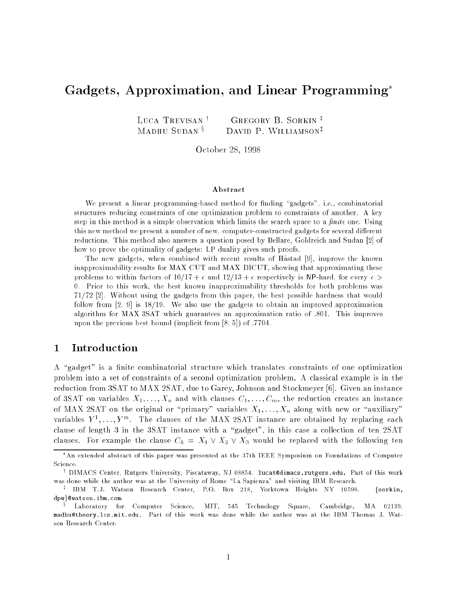# Gadgets, Approximation, and Linear Programming

LUCA TREVISAN<sup>†</sup> GREGORY B. SORKIN<sup>†</sup> MADHU SUDAN  $\S$  DAVID P. WILLIAMSON<sup>‡</sup>

October 28, 1998

#### Abstract

We present a linear programming-based method for finding "gadgets", i.e., combinatorial structures reducing constraints of one optimization problem to constraints of another. A key step in this method is a simple observation which limits the search space to a  $finite$  one. Using this new method we present a number of new, computer-constructed gadgets for several different reductions. This method also answers a question posed by Bellare, Goldreich and Sudan [2] of how to prove the optimality of gadgets: LP duality gives such proofs.

The new gadgets, when combined with recent results of Hastad [9], improve the known inapproximability results for MAX CUT and MAX DICUT, showing that approximating these problems to within factors of  $16/17 + \epsilon$  and  $12/13 + \epsilon$  respectively is NP-hard, for every  $\epsilon$ 0. Prior to this work, the best known inapproximability thresholds for both problems was 71/72 [2]. Without using the gadgets from this paper, the best possible hardness that would follow from  $[2, 9]$  is  $18/19$ . We also use the gadgets to obtain an improved approximation algorithm for MAX 3SAT which guarantees an approximation ratio of :801. This improves upon the previous best bound (implicit from  $[8, 5]$ ) of :7704.

### <sup>1</sup> Introduction

A "gadget" is a finite combinatorial structure which translates constraints of one optimization problem into a set of constraints of a second optimization problem. A classical example is in the reduction from 3SAT to MAX 2SAT, due to Garey, Johnson and Stockmeyer [6]. Given an instance of 3SAT on variables  $X_1, \ldots, X_n$  and with clauses  $C_1, \ldots, C_m$ , the reduction creates an instance of MAX 2SAT on the original or "primary" variables  $X_1, \ldots, X_n$  along with new or "auxiliary" variables  $Y^1, \ldots, Y^m$ . The clauses of the MAX 2SAT instance are obtained by replacing each clause of length 3 in the 3SAT instance with a "gadget", in this case a collection of ten 2SAT clauses. For example the clause  $C_k = X_1 \vee X_2 \vee X_3$  would be replaced with the following ten

An extended abstract of this paper was presented at the 37th IEEE Symposium on Foundations of Computer Science.

<sup>y</sup> DIMACS Center, Rutgers University, Piscataway, NJ 08854. lucat@dimacs.rutgers.edu. Part of this work was done while the author was at the University of Rome "La Sapienza" and visiting IBM Research.

<sup>z</sup> IBM T.J. Watson Research Center, P.O. Box 218, Yorktown Heights NY 10598. fsorkin, dpw}@watson.ibm.com.

<sup>x</sup> Laboratory for Computer Science, MIT, 545 Technology Square, Cambridge, MA 02139. madhu@theory.lcs.mit.edu. Part of this work was done while the author was at the IBM Thomas J. Watson Research Center.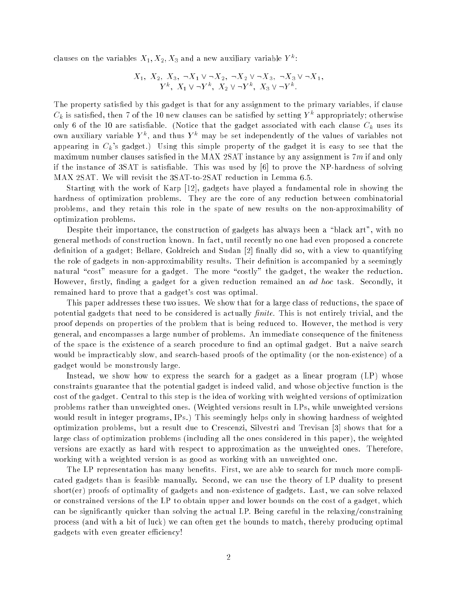clauses on the variables  $X_1, X_2, X_3$  and a new auxiliary variable  $Y^k\colon$ 

$$
X_1, X_2, X_3, \neg X_1 \lor \neg X_2, \neg X_2 \lor \neg X_3, \neg X_3 \lor \neg X_1, Y^k, X_1 \lor \neg Y^k, X_2 \lor \neg Y^k, X_3 \lor \neg Y^k.
$$

The property satisfied by this gadget is that for any assignment to the primary variables, if clause  $C_k$  is satisfied, then 7 of the 10 new clauses can be satisfied by setting  $Y^k$  appropriately; otherwise only 6 of the 10 are satisfiable. (Notice that the gadget associated with each clause  $C_k$  uses its own auxiliary variable  $Y^k$ , and thus  $Y^k$  may be set independently of the values of variables not appearing in  $C_k$ 's gadget.) Using this simple property of the gadget it is easy to see that the maximum number clauses satisfied in the MAX 2SAT instance by any assignment is  $7m$  if and only if the instance of 3SAT is satisfiable. This was used by  $[6]$  to prove the NP-hardness of solving MAX 2SAT. We will revisit the 3SAT-to-2SAT reduction in Lemma 6.5.

Starting with the work of Karp [12], gadgets have played a fundamental role in showing the hardness of optimization problems. They are the core of any reduction between combinatorial problems, and they retain this role in the spate of new results on the non-approximability of optimization problems.

Despite their importance, the construction of gadgets has always been a \black art", with no general methods of construction known. In fact, until recently no one had even proposed a concrete definition of a gadget; Bellare, Goldreich and Sudan [2] finally did so, with a view to quantifying the role of gadgets in non-approximability results. Their definition is accompanied by a seemingly natural "cost" measure for a gadget. The more "costly" the gadget, the weaker the reduction. However, firstly, finding a gadget for a given reduction remained an *ad hoc* task. Secondly, it remained hard to prove that a gadget's cost was optimal.

This paper addresses these two issues. We show that for a large class of reductions, the space of potential gadgets that need to be considered is actually *finite*. This is not entirely trivial, and the proof depends on properties of the problem that is being reduced to. However, the method is very general, and encompasses a large number of problems. An immediate consequence of the finiteness of the space is the existence of a search procedure to find an optimal gadget. But a naive search would be impracticably slow, and search-based proofs of the optimality (or the non-existence) of a gadget would be monstrously large.

Instead, we show how to express the search for a gadget as a linear program (LP) whose constraints guarantee that the potential gadget is indeed valid, and whose ob jective function is the cost of the gadget. Central to this step is the idea of working with weighted versions of optimization problems rather than unweighted ones. (Weighted versions result in LPs, while unweighted versions would result in integer programs, IPs.) This seemingly helps only in showing hardness of weighted optimization problems, but a result due to Crescenzi, Silvestri and Trevisan [3] shows that for a large class of optimization problems (including all the ones considered in this paper), the weighted versions are exactly as hard with respect to approximation as the unweighted ones. Therefore, working with a weighted version is as good as working with an unweighted one.

The LP representation has many benefits. First, we are able to search for much more complicated gadgets than is feasible manually. Second, we can use the theory of LP duality to present short(er) proofs of optimality of gadgets and non-existence of gadgets. Last, we can solve relaxed or constrained versions of the LP to obtain upper and lower bounds on the cost of a gadget, which can be signicantly quicker than solving the actual LP. Being careful in the relaxing/constraining process (and with a bit of luck) we can often get the bounds to match, thereby producing optimal gadgets with even greater efficiency!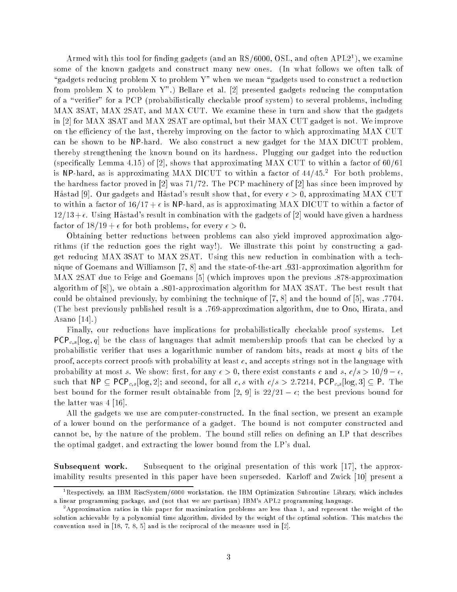Armed with this tool for finding gadgets (and an RS/6000, OSL, and often APL21), we examine some of the known gadgets and construct many new ones. (In what follows we often talk of "gadgets reducing problem X to problem Y" when we mean "gadgets used to construct a reduction from problem X to problem Y".) Bellare et al. [2] presented gadgets reducing the computation of a "verifier" for a PCP (probabilistically checkable proof system) to several problems, including MAX 3SAT, MAX 2SAT, and MAX CUT. We examine these in turn and show that the gadgets in [2] for MAX 3SAT and MAX 2SAT are optimal, but their MAX CUT gadget is not. We improve on the efficiency of the last, thereby improving on the factor to which approximating MAX CUT can be shown to be NP-hard. We also construct a new gadget for the MAX DICUT problem, thereby strengthening the known bound on its hardness. Plugging our gadget into the reduction (specifically Lemma 4.15) of [2], shows that approximating MAX CUT to within a factor of  $60/61$ is NP-hard, as is approximating MAX DICUT to within a factor of 44/45. $^2\,$  For both problems, the hardness factor proved in  $[2]$  was  $71/72$ . The PCP machinery of  $[2]$  has since been improved by Håstad [9]. Our gadgets and Håstad's result show that, for every  $\epsilon > 0$ , approximating MAX CUT to within a factor of  $16/17 + \epsilon$  is NP-hard, as is approximating MAX DICUT to within a factor of  $12/13+\epsilon$ . Using Hastad's result in combination with the gadgets of [2] would have given a hardness factor of  $18/19 + \epsilon$  for both problems, for every  $\epsilon > 0$ .

Obtaining better reductions between problems can also yield improved approximation algorithms (if the reduction goes the right way!). We illustrate this point by constructing a gadget reducing MAX 3SAT to MAX 2SAT. Using this new reduction in combination with a technique of Goemans and Williamson [7, 8] and the state-of-the-art :931-approximation algorithm for MAX 2SAT due to Feige and Goemans [5] (which improves upon the previous :878-approximation algorithm of [8]), we obtain a :801-approximation algorithm for MAX 3SAT. The best result that could be obtained previously, by combining the technique of [7, 8] and the bound of [5], was :7704. (The best previously published result is a :769-approximation algorithm, due to Ono, Hirata, and Asano [14].)

Finally, our reductions have implications for probabilistically checkable proof systems. Let PCP<sub>c,s</sub> [log, q] be the class of languages that admit membership proofs that can be checked by a probabilistic verifier that uses a logarithmic number of random bits, reads at most  $q$  bits of the proof, accepts correct proofs with probability at least  $c$ , and accepts strings not in the language with probability at most s. We show: first, for any  $\epsilon > 0$ , there exist constants c and s,  $c/s > 10/9 - \epsilon$ , such that  $\mathsf{NP} \subseteq \mathsf{PCP}_{c,s}[\log, 2];$  and second, for all  $c, s$  with  $c/s > 2.7214$ ,  $\mathsf{PCP}_{c,s}[\log, 3] \subseteq \mathsf{P}$ . The best bound for the former result obtainable from [2, 9] is  $22/21 - \epsilon$ ; the best previous bound for the latter was 4 [16].

All the gadgets we use are computer-constructed. In the final section, we present an example of a lower bound on the performance of a gadget. The bound is not computer constructed and cannot be, by the nature of the problem. The bound still relies on defining an LP that describes the optimal gadget, and extracting the lower bound from the LP's dual.

Subsequent work. Subsequent to the original presentation of this work [17], the approximability results presented in this paper have been superseded. Karloff and Zwick [10] present a

<sup>1</sup> Respectively, an IBM RiscSystem/6000 workstation, the IBM Optimization Subroutine Library, which includes a linear programming package, and (not that we are partisan) IBM's APL2 programming language.

<sup>-</sup>Approximation ratios in this paper for maximization problems are less than 1, and represent the weight of the solution achievable by a polynomial time algorithm, divided by the weight of the optimal solution. This matches the convention used in [18, 7, 8, 5] and is the reciprocal of the measure used in [2].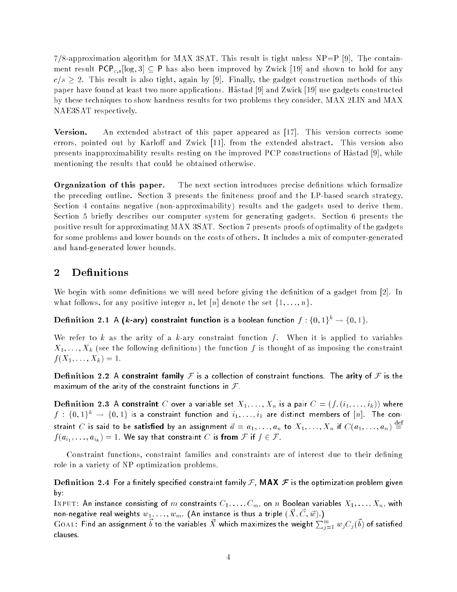$7/8$ -approximation algorithm for MAX 3SAT. This result is tight unless NP=P [9]. The containment result  $PCP_{c,s}[\log, 3] \subseteq P$  has also been improved by Zwick [19] and shown to hold for any  $c/s \geq 2$ . This result is also tight, again by [9]. Finally, the gadget construction methods of this paper have found at least two more applications. Håstad [9] and Zwick [19] use gadgets constructed by these techniques to show hardness results for two problems they consider, MAX 2LIN and MAX NAE3SAT respectively.

Version. An extended abstract of this paper appeared as [17]. This version corrects some errors, pointed out by Karloff and Zwick  $[11]$ , from the extended abstract. This version also presents inapproximability results resting on the improved PCP constructions of Hastad [9], while mentioning the results that could be obtained otherwise.

**Organization of this paper.** The next section introduces precise definitions which formalize the preceding outline. Section 3 presents the finiteness proof and the LP-based search strategy. Section 4 contains negative (non-approximability) results and the gadgets used to derive them. Section 5 briefly describes our computer system for generating gadgets. Section 6 presents the positive result for approximating MAX 3SAT. Section 7 presents proofs of optimality of the gadgets for some problems and lower bounds on the costs of others. It includes a mix of computer-generated and hand-generated lower bounds.

#### $\overline{2}$ **Definitions**

We begin with some definitions we will need before giving the definition of a gadget from [2]. In what follows, for any positive integer n, let [n] denote the set  $\{1, \ldots, n\}$ .

Definition 2.1 A (k-ary) constraint function is a boolean function  $f: \{0,1\}^k \rightarrow \{0,1\}$ .

We refer to k as the arity of a k-ary constraint function  $f$ . When it is applied to variables  $X_1, \ldots, X_k$  (see the following definitions) the function f is thought of as imposing the constraint  $f(X_1, \ldots, X_k) = 1.$ 

Definition 2.2 A constraint family  $\mathcal F$  is a collection of constraint functions. The arity of  $\mathcal F$  is the maximum of the arity of the constraint functions in  $\mathcal F$ .

Definition 2.3 A constraint C over a variable set  $X_1, \ldots, X_n$  is a pair  $C = (f, (i_1, \ldots, i_k))$  where  $f: \{0,1\}^k \rightarrow \{0,1\}$  is a constraint function and  $i_1,\ldots,i_k$  are distinct members of  $[n]$ . The constraint  $C$  is said to be satisfied by an assignment  $\vec{a} = a_1, \ldots, a_n$  to  $X_1, \ldots, X_n$  if  $C(a_1, \ldots, a_n) \stackrel{\text{def}}{=}$  $f(a_{i_1},\ldots,a_{i_k})=1.$  We say that constraint  $C$  is from  ${\mathcal F}$  if  $f\in {\mathcal F}$  .

Constraint functions, constraint families and constraints are of interest due to their defining role in a variety of NP optimization problems.

Definition 2.4 For a finitely specified constraint family F, MAX  $\mathcal F$  is the optimization problem given by:

INPUT: An instance consisting of m constraints  $C_1, \ldots, C_m$ , on n Boolean variables  $X_1, \ldots, X_n$ , with non-negative real weights  $w_1, \ldots, w_m$  (An instance is thus a triple  $(\vec{X}, \vec{C}, \vec{w})$ .)

 $\rm GoAL:$  Find an assignment  $\vec{b}$  to the variables  $\vec{X}$  which maximizes the weight  $\sum_{j=1}^m w_j C_j(\vec{b})$  of satisfied clauses.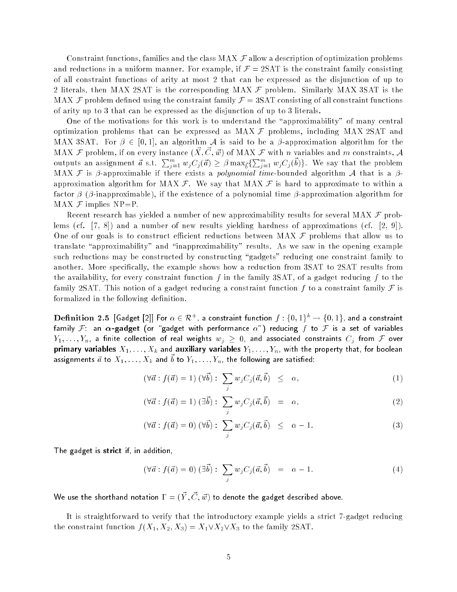Constraint functions, families and the class MAX  $\cal F$  allow a description of optimization problems and reductions in a uniform manner. For example, if  $\mathcal{F} = 2SAT$  is the constraint family consisting of all constraint functions of arity at most 2 that can be expressed as the disjunction of up to 2 literals, then MAX 2SAT is the corresponding MAX  $\mathcal F$  problem. Similarly MAX 3SAT is the MAX  $\mathcal F$  problem defined using the constraint family  $\mathcal F = 3SAT$  consisting of all constraint functions of arity up to 3 that can be expressed as the disjunction of up to 3 literals.

One of the motivations for this work is to understand the "approximability" of many central optimization problems that can be expressed as  $MAX \tmathcal{F}$  problems, including  $MAX 2SAT$  and MAX 3SAT. For  $\beta \in [0,1]$ , an algorithm A is said to be a  $\beta$ -approximation algorithm for the MAX  ${\cal F}$  problem, if on every instance  $(\vec{X},\vec{C},\vec{w})$  of MAX  ${\cal F}$  with  $n$  variables and  $m$  constraints,  ${\cal A}$ outputs an assignment  $\vec{a}$  s.t.  $\sum_{j=1}^m w_j C_j(\vec{a}) \geq \beta \max_{\vec{b}} \{ \sum_{j=1}^m w_j C_j(\vec{b}) \}$ . We say that the problem MAX F is  $\beta$ -approximable if there exists a *polynomial time*-bounded algorithm A that is a  $\beta$ approximation algorithm for MAX  $\mathcal{F}$ . We say that MAX  $\mathcal{F}$  is hard to approximate to within a factor  $\beta$  ( $\beta$ -inapproximable), if the existence of a polynomial time  $\beta$ -approximation algorithm for MAX  $\mathcal F$  implies NP=P.

Recent research has yielded a number of new approximability results for several MAX  ${\cal F}$  problems (cf. [7, 8]) and a number of new results yielding hardness of approximations (cf. [2, 9]). One of our goals is to construct efficient reductions between MAX  $\mathcal F$  problems that allow us to translate "approximability" and "inapproximability" results. As we saw in the opening example such reductions may be constructed by constructing "gadgets" reducing one constraint family to another. More specically, the example shows how a reduction from 3SAT to 2SAT results from the availability, for every constraint function f in the family  $3SAT$ , of a gadget reducing f to the family 2SAT. This notion of a gadget reducing a constraint function f to a constraint family  $\mathcal F$  is formalized in the following definition.

 ${\bf Definition}~~{\bf 2.5}~~[$ Gadget [2]] For  $\alpha\in{\cal R}^+$ , a constraint function  $f:\{0,1\}^k\to\{0,1\},$  and a constraint family  $\mathcal F$ : an  $\alpha$ -gadget (or "gadget with performance  $\alpha$ ") reducing f to  $\mathcal F$  is a set of variables  $Y_1,\ldots,Y_n$ , a finite collection of real weights  $w_j\,\geq\,0$ , and associated constraints  $C_j$  from  ${\mathcal F}$  over primary variables  $X_1, \ldots, X_k$  and auxiliary variables  $Y_1, \ldots, Y_n$ , with the property that, for boolean assignments  $\vec{a}$  to  $X_1,\ldots,X_k$  and  $\vec{b}$  to  $Y_1,\ldots,Y_n$ , the following are satisfied:

$$
(\forall \vec{a} : f(\vec{a}) = 1) (\forall \vec{b}) : \sum_{j} w_j C_j(\vec{a}, \vec{b}) \leq \alpha,
$$
\n(1)

$$
(\forall \vec{a} : f(\vec{a}) = 1) (\exists \vec{b}) : \sum_{j} w_j C_j(\vec{a}, \vec{b}) = \alpha,
$$
\n(2)

$$
(\forall \vec{a} : f(\vec{a}) = 0) (\forall \vec{b}) : \sum_{j} w_j C_j(\vec{a}, \vec{b}) \leq \alpha - 1.
$$
 (3)

The gadget is strict if, in addition,

$$
(\forall \vec{a} : f(\vec{a}) = 0) (\exists \vec{b}) : \sum_{j} w_j C_j(\vec{a}, \vec{b}) = \alpha - 1.
$$
 (4)

We use the shorthand notation  $\Gamma = (\vec{Y}, \vec{C}, \vec{w})$  to denote the gadget described above.

It is straightforward to verify that the introductory example yields a strict 7-gadget reducing the constraint function  $f(X_1, X_2, X_3) = X_1 \vee X_2 \vee X_3$  to the family 2SAT.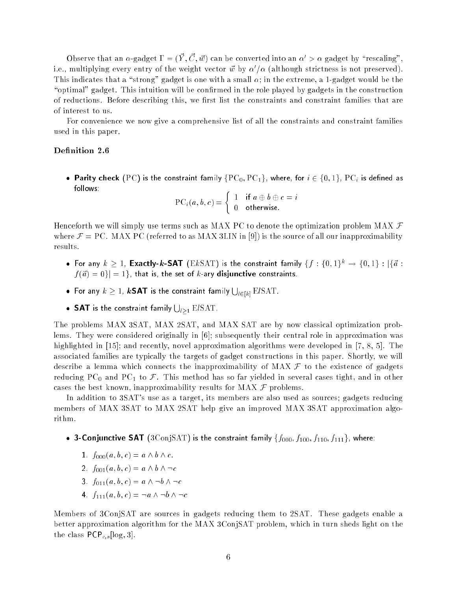Observe that an  $\alpha$ -gadget  $\Gamma = (\vec{Y}, \vec{C}, \vec{w})$  can be converted into an  $\alpha' > \alpha$  gadget by "rescaling". i.e., multiplying every entry of the weight vector  $\vec{w}$  by  $\alpha'/\alpha$  (although strictness is not preserved). This indicates that a "strong" gadget is one with a small  $\alpha$ ; in the extreme, a 1-gadget would be the "optimal" gadget. This intuition will be confirmed in the role played by gadgets in the construction of reductions. Before describing this, we first list the constraints and constraint families that are of interest to us.

For convenience we now give a comprehensive list of all the constraints and constraint families used in this paper.

#### Definition 2.6

• Parity check (PC) is the constraint family  $\{PC_0, PC_1\}$ , where, for  $i \in \{0, 1\}$ , PC<sub>i</sub> is defined as follows:

 $\text{PC}_i(a, b, c) = \begin{cases} 1 & \text{if } a \oplus b \oplus c = i \\ 0 & \text{otherwise} \end{cases}$ 

Henceforth we will simply use terms such as MAX PC to denote the optimization problem MAX  $\mathcal F$ where  $\mathcal{F} = \text{PC}$ . MAX PC (referred to as MAX 3LIN in [9]) is the source of all our inapproximability results.

- For any  $k \ge 1$ , Exactly-k-SAT (E $k$ SAT) is the constraint family  $\{f: \{0,1\}^k \to \{0,1\} : |\{\vec{a}:$  $|f(\vec{a}) = 0| = 1$ , that is, the set of k-ary disjunctive constraints.
- $\bullet$  For any  $k\geq 1$ ,  $k\textsf{SAT}$  is the constraint family  $\bigcup_{l\in[k]} \mathrm{EISAT}.$
- SAT is the constraint family  $\bigcup_{l\geq 1} {\rm E} l{\rm SAT}.$

The problems MAX 3SAT, MAX 2SAT, and MAX SAT are by now classical optimization problems. They were considered originally in [6]; subsequently their central role in approximation was highlighted in [15]; and recently, novel approximation algorithms were developed in [7, 8, 5]. The associated families are typically the targets of gadget constructions in this paper. Shortly, we will describe a lemma which connects the inapproximability of MAX  $\mathcal F$  to the existence of gadgets reducing PC<sub>0</sub> and PC<sub>1</sub> to F. This method has so far yielded in several cases tight, and in other cases the best known, inapproximability results for MAX  $\mathcal F$  problems.

In addition to 3SAT's use as a target, its members are also used as sources; gadgets reducing members of MAX 3SAT to MAX 2SAT help give an improved MAX 3SAT approximation algorithm.

- 3-Conjunctive SAT (3ConjSAT) is the constraint family  $\{f_{000}, f_{100}, f_{110}, f_{111}\}$ , where:
	- 1.  $f_{000}(a, b, c) = a \wedge b \wedge c$ .
	- 2.  $f_{001}(a, b, c) = a \wedge b \wedge \neg c$
	- 3.  $f_{011}(a, b, c) = a \wedge \neg b \wedge \neg c$
	- 4.  $f_{111}(a, b, c) = \neg a \land \neg b \land \neg c$

Members of 3ConjSAT are sources in gadgets reducing them to 2SAT. These gadgets enable a better approximation algorithm for the MAX 3ConjSAT problem, which in turn sheds light on the the class  $PCP_{c,s}[\log, 3]$ .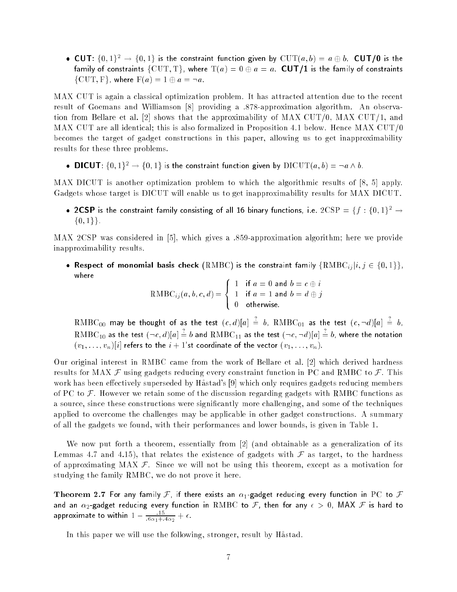• CUT:  $\{0, 1\}^2 \rightarrow \{0, 1\}$  is the constraint function given by  $CUT(a, b) = a \oplus b$ . CUT/0 is the family of constraints  $\{CUT, T\}$ , where  $T(a) = 0 \oplus a = a$ . CUT/1 is the family of constraints  $\{CUT, F\}$ , where  $F(a) = 1 \oplus a = \neg a$ .

MAX CUT is again a classical optimization problem. It has attracted attention due to the recent result of Goemans and Williamson [8] providing a .878-approximation algorithm. An observation from Bellare et al. [2] shows that the approximability of MAX CUT/0, MAX CUT/1, and MAX CUT are all identical; this is also formalized in Proposition 4.1 below. Hence MAX CUT/0 becomes the target of gadget constructions in this paper, allowing us to get inapproximability results for these three problems.

• **DICUT**:  $\{0, 1\}^2 \rightarrow \{0, 1\}$  is the constraint function given by  $\text{DICUT}(a, b) = \neg a \wedge b$ .

MAX DICUT is another optimization problem to which the algorithmic results of [8, 5] apply. Gadgets whose target is DICUT will enable us to get inapproximability results for MAX DICUT.

• 2CSP is the constraint family consisting of all 16 binary functions, i.e.  $2CSP = \{f : \{0,1\}^2 \rightarrow \emptyset\}$  $\{0,1\}\}.$ 

MAX 2CSP was considered in [5], which gives a .859-approximation algorithm; here we provide inapproximability results.

• Respect of monomial basis check (RMBC) is the constraint family  $\{RMBC_{ij}|i, j \in \{0,1\}\},$ where **Service State State State State State** 

 $\mathrm{RMBC}_{ij}(a, b, c, d) =$ >< >: 1 if  $a = 0$  and  $b = c \oplus i$ 1 if  $a = 1$  and  $b = d \oplus j$ 

 $\mathrm{RMBC}_{00}$  may be thought of as the test  $(c,d)|a| \, \dot{=} \,$   $b, \; \mathrm{RMBC}_{01}$  as the test  $(c, \neg d)|a| \, \dot{=} \,$   $b,$  $\mathrm{RMBC}_{10}$  as the test  $(\neg c, d) [a] \doteq b$  and  $\mathrm{RMBC}_{11}$  as the test  $(\neg c, \neg d) [a] \doteq b$ , where the notation  $(v_1, \ldots, v_n)[i]$  refers to the  $i + 1$ 'st coordinate of the vector  $(v_1, \ldots, v_n)$ .

Our original interest in RMBC came from the work of Bellare et al. [2] which derived hardness results for MAX  $\mathcal F$  using gadgets reducing every constraint function in PC and RMBC to  $\mathcal F$ . This work has been effectively superseded by Håstad's [9] which only requires gadgets reducing members of PC to  $\mathcal F$ . However we retain some of the discussion regarding gadgets with RMBC functions as a source, since these constructions were signicantly more challenging, and some of the techniques applied to overcome the challenges may be applicable in other gadget constructions. A summary of all the gadgets we found, with their performances and lower bounds, is given in Table 1.

We now put forth a theorem, essentially from [2] (and obtainable as a generalization of its Lemmas 4.7 and 4.15), that relates the existence of gadgets with  $\mathcal F$  as target, to the hardness of approximating MAX  $\mathcal{F}$ . Since we will not be using this theorem, except as a motivation for studying the family RMBC, we do not prove it here.

Theorem 2.7 For any family F, if there exists an  $\alpha_1$ -gadget reducing every function in PC to F and an  $\alpha_2$ -gadget reducing every function in  $\mathrm{RMBC}$  to  $\mathcal F,$  then for any  $\epsilon\,>\,0,$  MAX  $\mathcal F$  is hard to approximate to within  $1 - \frac{1}{6\alpha_1 + 4\alpha_2} + \epsilon$ .

In this paper we will use the following, stronger, result by Hastad.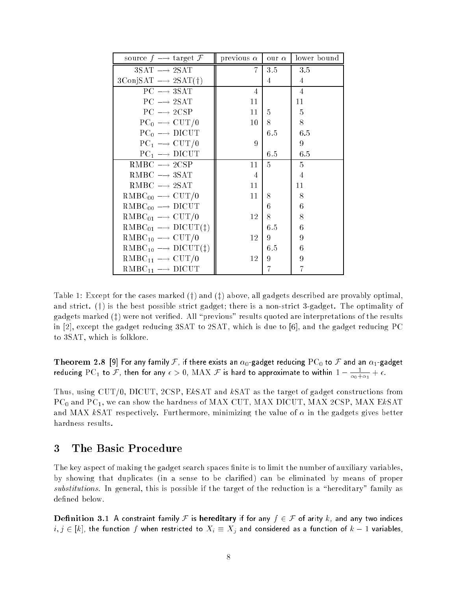| source $f \rightarrow$ target $\mathcal{F}$            | previous $\alpha$ | our $\alpha$ | lower bound    |
|--------------------------------------------------------|-------------------|--------------|----------------|
| $3SAT \rightarrow 2SAT$                                | 7                 | 3.5          | 3.5            |
| $3\text{ConjSAT} \longrightarrow 2\text{SAT}(\dagger)$ |                   | 4            | 4              |
| $PC \rightarrow 3SAT$                                  | 4                 |              | $\overline{4}$ |
| $PC \longrightarrow 2SAT$                              | 11                |              | 11             |
| $PC \rightarrow 2CSP$                                  | 11                | 5            | 5              |
| $PC_0 \longrightarrow CUT/0$                           | 10                | 8            | 8              |
| $PC_0 \longrightarrow DICUT$                           |                   | 6.5          | 6.5            |
| $PC_1 \longrightarrow$ CUT/0                           | 9                 |              | 9              |
| $PC_1 \longrightarrow DICUT$                           |                   | 6.5          | 6.5            |
| RMBC $\longrightarrow$ 2CSP                            | 11                | 5            | 5              |
| $RMBC \rightarrow 3SAT$                                | 4                 |              | $\overline{4}$ |
| $RMBC \rightarrow 2SAT$                                | 11                |              | 11             |
| $RMBC_{00} \longrightarrow$ CUT/0                      | 11                | 8            | 8              |
| $RMBC_{00} \longrightarrow DICUT$                      |                   | 6            | 6              |
| $RMBC_{01} \longrightarrow$ CUT/0                      | 12                | 8            | 8              |
| $RMBC_{01} \longrightarrow DICUT(\ddagger)$            |                   | 6.5          | 6              |
| $RMBC_{10} \longrightarrow$ CUT/0                      | 12                | 9            | 9              |
| $RMBC_{10} \longrightarrow DICUT(1)$                   |                   | 6.5          | 6              |
| $RMBC_{11} \longrightarrow$ CUT/0                      | 12                | 9            | 9              |
| $RMBC_{11} \longrightarrow DICUT$                      |                   | 7            |                |

Table 1: Except for the cases marked  $(t)$  and  $(t)$  above, all gadgets described are provably optimal. and strict.  $(t)$  is the best possible strict gadget; there is a non-strict 3-gadget. The optimality of gadgets marked  $(\frac{1}{4})$  were not verified. All "previous" results quoted are interpretations of the results in [2], except the gadget reducing 3SAT to 2SAT, which is due to [6], and the gadget reducing PC to 3SAT, which is folklore.

Theorem 2.8 [9] For any family  $\cal F$ , if there exists an  $\alpha_0$ -gadget reducing  ${\rm PC}_0$  to  $\cal F$  and an  $\alpha_1$ -gadget reducing  $PC_{1}$  to  ${\cal F},$  then for any  $\epsilon > 0,$   ${\rm MAX}$   ${\cal F}$  is hard to approximate to within  $1 - \frac{1}{\alpha_{0} + \alpha_{1}} + \epsilon.$ 

Thus, using CUT/0, DICUT, 2CSP, EkSAT and kSAT as the target of gadget constructions from PC<sub>0</sub> and PC<sub>1</sub>, we can show the hardness of MAX CUT, MAX DICUT, MAX 2CSP, MAX EkSAT and MAX kSAT respectively. Furthermore, minimizing the value of  $\alpha$  in the gadgets gives better hardness results.

## <sup>3</sup> The Basic Procedure

The key aspect of making the gadget search spaces finite is to limit the number of auxiliary variables, by showing that duplicates (in a sense to be claried) can be eliminated by means of proper substitutions. In general, this is possible if the target of the reduction is a "hereditary" family as defined below.

Definition 3.1 A constraint family F is hereditary if for any  $f \in \mathcal{F}$  of arity k, and any two indices  $i,j \in [k],$  the function  $f$  when restricted to  $X_i \equiv X_j$  and considered as a function of  $k-1$  variables,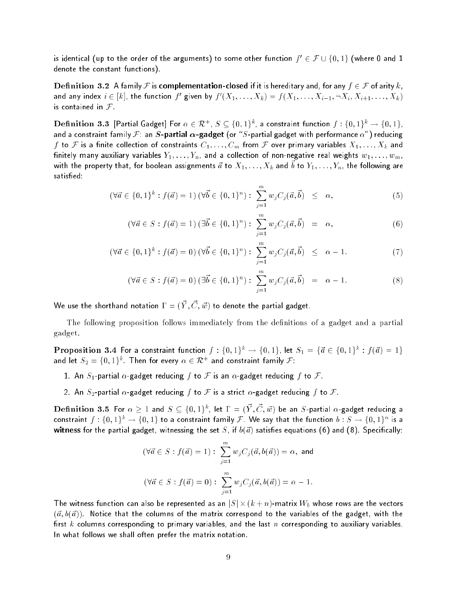is identical (up to the order of the arguments) to some other function  $f'\in \mathcal{F}\cup \{0,1\}$  (where 0 and  $1$ denote the constant functions).

Definition 3.2 A family F is complementation-closed if it is hereditary and, for any  $f \in \mathcal{F}$  of arity k, and any index  $i \in [k]$ , the function  $f'$  given by  $f'(X_1, \ldots, X_k) = f(X_1, \ldots, X_{i-1}, \neg X_i, X_{i+1}, \ldots, X_k)$ is contained in  $F$ .

 $\bf{Definition 3.3}$   $[{\sf Partial~Gagger}]{\sf For}$   $\alpha\in \mathcal{R}^+$ ,  $S\subseteq \{0,1\}^k$ , a constraint function  $f:\{0,1\}^k\rightarrow \{0,1\},$ and a constraint family  $\mathcal{F}$ : an  $S$ -partial  $\alpha$ -gadget (or "S-partial gadget with performance  $\alpha$ ") reducing  $f$  to  ${\cal F}$  is a finite collection of constraints  $C_1,\ldots,C_m$  from  ${\cal F}$  over primary variables  $X_1,\ldots,X_k$  and finitely many auxiliary variables  $Y_1, \ldots, Y_n$ , and a collection of non-negative real weights  $w_1, \ldots, w_m,$ with the property that, for boolean assignments  $\vec{a}$  to  $X_1,\ldots,X_k$  and  $\vec{b}$  to  $Y_1,\ldots,Y_n,$  the following are satisfied:

$$
(\forall \vec{a} \in \{0,1\}^k : f(\vec{a}) = 1) \ (\forall \vec{b} \in \{0,1\}^n) : \ \sum_{j=1}^m w_j C_j(\vec{a}, \vec{b}) \ \leq \ \alpha,
$$
 (5)

$$
(\forall \vec{a} \in S : f(\vec{a}) = 1) (\exists \vec{b} \in \{0, 1\}^n) : \sum_{j=1}^m w_j C_j(\vec{a}, \vec{b}) = \alpha,
$$
 (6)

$$
(\forall \vec{a} \in \{0,1\}^k : f(\vec{a}) = 0) \ (\forall \vec{b} \in \{0,1\}^n) : \ \sum_{j=1}^m w_j C_j(\vec{a}, \vec{b}) \ \leq \ \alpha - 1. \tag{7}
$$

$$
(\forall \vec{a} \in S : f(\vec{a}) = 0) (\exists \vec{b} \in \{0, 1\}^n) : \sum_{j=1}^m w_j C_j(\vec{a}, \vec{b}) = \alpha - 1.
$$
 (8)

We use the shorthand notation  $\Gamma = (\vec{Y}, \vec{C}, \vec{w})$  to denote the partial gadget.

The following proposition follows immediately from the definitions of a gadget and a partial gadget.

 $\bf{Proposition\ 3.4}$  For a constraint function  $f:\{0,1\}^k \to \{0,1\},$  let  $S_1=\{\vec{a}\in \{0,1\}^k:f(\vec{a})=1\}$ and let  $S_2 = \{0,1\}^k$  . Then for every  $\alpha \in \mathcal{R}^+$  and constraint family  $\mathcal{F}$ :

- 1. An  $S_1$ -partial  $\alpha$ -gadget reducing f to F is an  $\alpha$ -gadget reducing f to F.
- 2. An  $S_2$ -partial  $\alpha$ -gadget reducing f to F is a strict  $\alpha$ -gadget reducing f to F.

 ${\bf Definition}$   ${\bf 3.5}$  For  $\alpha\geq 1$  and  $S\subseteq \{0,1\}^k$ , let  $\Gamma=(\vec Y,\vec C,\vec w)$  be an  $S$ -partial  $\alpha$ -gadget reducing a constraint  $f:\{0,1\}^k\to\{0,1\}$  to a constraint family  ${\cal F}$  . We say that the function  $b:S\to\{0,1\}^n$  is a witness for the partial gadget, witnessing the set S, if  $b(\vec{a})$  satisfies equations (6) and (8). Specifically:

$$
(\forall \vec{a} \in S : f(\vec{a}) = 1) : \sum_{j=1}^{m} w_j C_j(\vec{a}, b(\vec{a})) = \alpha, \text{ and}
$$
  

$$
(\forall \vec{a} \in S : f(\vec{a}) = 0) : \sum_{j=1}^{m} w_j C_j(\vec{a}, b(\vec{a})) = \alpha - 1.
$$

The witness function can also be represented as an  $|S|\times (k+n)$ -matrix  $W_b$  whose rows are the vectors  $({\vec a}, b({\vec a}))$ . Notice that the columns of the matrix correspond to the variables of the gadget, with the first k columns corresponding to primary variables, and the last n corresponding to auxiliary variables. In what follows we shall often prefer the matrix notation.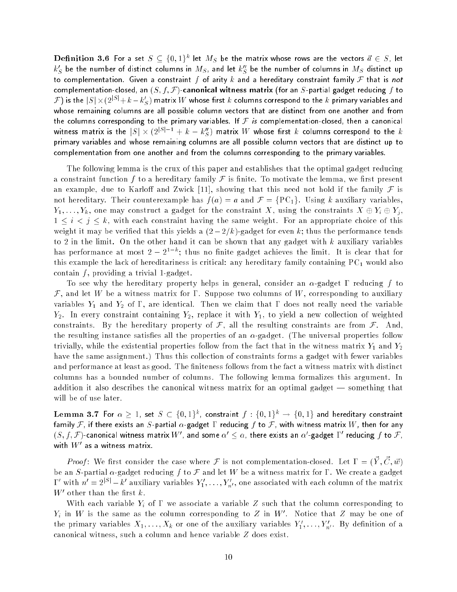${\bf Definition}$   ${\bf 3.6}$   $\,$  For a set  $S \subseteq \{0,1\}^k$  let  $M_S$  be the matrix whose rows are the vectors  $\vec{a} \in S,$  let  $k_S^\prime$  be the number of distinct columns in  $M_S$ , and let  $k_S^{\prime\prime}$  be the number of columns in  $M_S$  distinct up to complementation. Given a constraint  $f$  of arity  $k$  and a hereditary constraint family  $\mathcal F$  that is not complementation-closed, an  $(S, f, \mathcal{F})$ -canonical witness matrix (for an  $S$ -partial gadget reducing  $f$  to  $\cal F)$  is the  $|S|\!\times\!(2^{|S|}\!+\!k\!-\!k_S')$  matrix  $W$  whose first  $k$  columns correspond to the  $k$  primary variables and whose remaining columns are all possible column vectors that are distinct from one another and from the columns corresponding to the primary variables. If  $\mathcal F$  is complementation-closed, then a canonical witness matrix is the  $|S|\times (2^{|S|-1}+k-k''_S)$  matrix  $W$  whose first  $k$  columns correspond to the  $k$ primary variables and whose remaining columns are all possible column vectors that are distinct up to complementation from one another and from the columns corresponding to the primary variables.

The following lemma is the crux of this paper and establishes that the optimal gadget reducing a constraint function f to a hereditary family F is finite. To motivate the lemma, we first present an example, due to Karloff and Zwick [11], showing that this need not hold if the family  $\mathcal F$  is not hereditary. Their counterexample has  $f(a) = a$  and  $\mathcal{F} = \{PC_1\}$ . Using k auxiliary variables,  $Y_1, \ldots, Y_k$ , one may construct a gadget for the constraint X, using the constraints  $X \oplus Y_i \oplus Y_j$ ,  $1 \leq i < j \leq k$ , with each constraint having the same weight. For an appropriate choice of this weight it may be verified that this yields a  $(2-2/k)$ -gadget for even k; thus the performance tends to 2 in the limit. On the other hand it can be shown that any gadget with  $k$  auxiliary variables has performance at most  $2 - 2^{1-k}$ ; thus no finite gadget achieves the limit. It is clear that for this example the lack of hereditariness is critical: any hereditary family containing  $PC<sub>1</sub>$  would also contain  $f$ , providing a trivial 1-gadget.

To see why the hereditary property helps in general, consider an  $\alpha$ -gadget  $\Gamma$  reducing f to  $\mathcal F$ , and let W be a witness matrix for  $\Gamma$ . Suppose two columns of W, corresponding to auxiliary variables  $Y_1$  and  $Y_2$  of  $\Gamma$ , are identical. Then we claim that  $\Gamma$  does not really need the variable  $Y_2$ . In every constraint containing  $Y_2$ , replace it with  $Y_1$ , to yield a new collection of weighted constraints. By the hereditary property of  $\mathcal{F}$ , all the resulting constraints are from  $\mathcal{F}$ . And, the resulting instance satisfies all the properties of an  $\alpha$ -gadget. (The universal properties follow trivially, while the existential properties follow from the fact that in the witness matrix  $Y_1$  and  $Y_2$ have the same assignment.) Thus this collection of constraints forms a gadget with fewer variables and performance at least as good. The finiteness follows from the fact a witness matrix with distinct columns has a bounded number of columns. The following lemma formalizes this argument. In addition it also describes the canonical witness matrix for an optimal gadget  $-$  something that will be of use later.

Lemma 3.7 For  $\alpha\,\geq\,1$ , set  $\,S\,\subset\,\{0,1\}^k,$  constraint  $\,f\,:\,\{0,1\}^k\,\to\,\{0,1\}\,$  and hereditary constraint family F, if there exists an S-partial  $\alpha$ -gadget  $\Gamma$  reducing f to F, with witness matrix W, then for any  $(S,f,\mathcal{F})$ -canonical witness matrix  $W'$ , and some  $\alpha'\leq\alpha,$  there exists an  $\alpha'$ -gadget  $\Gamma'$  reducing  $f$  to  $\mathcal{F},$ with  $W'$  as a witness matrix.

*Proof*: We first consider the case where F is not complementation-closed. Let  $\Gamma = (\vec{Y}, \vec{C}, \vec{w})$ be an S-partial  $\alpha$ -gadget reducing f to F and let W be a witness matrix for  $\Gamma$ . We create a gadget  $\Gamma'$  with  $n'=2^{|S|}-k'$  auxiliary variables  $Y'_1,\ldots,Y'_{n'}$ , one associated with each column of the matrix  $W'$  other than the first  $k$  .

With each variable  $Y_i$  of  $\Gamma$  we associate a variable Z such that the column corresponding to  $Y_i$  in W is the same as the column corresponding to Z in W'. Notice that Z may be one of the primary variables  $X_1, \ldots, X_k$  or one of the auxiliary variables  $Y'_1, \ldots, Y'_{n'}$ . By definition of a canonical witness, such a column and hence variable Z does exist.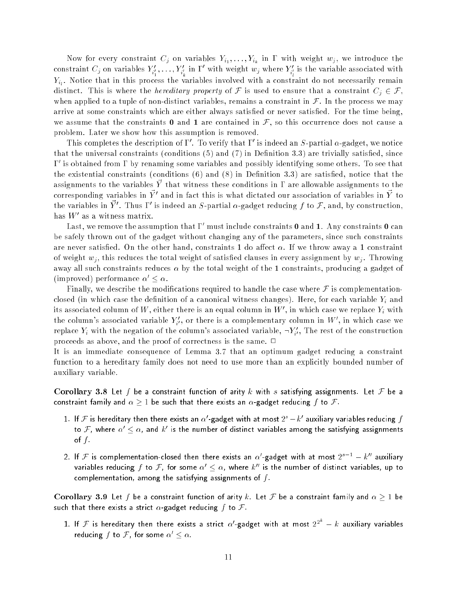Now for every constraint  $C_j$  on variables  $Y_{i_1},\ldots,Y_{i_k}$  in  $\Gamma$  with weight  $w_j,$  we introduce the constraint  $C_j$  on variables  $Y_{i'_1},\ldots,Y_{i'_k}$  in  $\Gamma'$  with weight  $w_j$  where  $Y_{i'_l}$  is the variable associated with  $Y_{i_l}.$  Notice that in this process the variables involved with a constraint do not necessarily remain distinct. This is where the *hereditary property* of F is used to ensure that a constraint  $C_i \in \mathcal{F}$ , when applied to a tuple of non-distinct variables, remains a constraint in  $\mathcal F$ . In the process we may arrive at some constraints which are either always satisfied or never satisfied. For the time being, we assume that the constraints **0** and 1 are contained in  $\mathcal{F}$ , so this occurrence does not cause a problem. Later we show how this assumption is removed.

This completes the description of  $\Gamma'$ . To verify that  $\Gamma'$  is indeed an S-partial  $\alpha$ -gadget, we notice that the universal constraints (conditions  $(5)$  and  $(7)$  in Definition 3.3) are trivially satisfied, since 0 is obtained from by renaming some variables and possibly identifying some others. To see that the existential constraints (conditions  $(6)$  and  $(8)$  in Definition 3.3) are satisfied, notice that the assignments to the variables  $\vec{Y}$  that witness these conditions in  $\Gamma$  are allowable assignments to the corresponding variables in  $\vec{Y}'$  and in fact this is what dictated our association of variables in  $\vec{Y}$  to the variables in  $\vec{Y}'$ . Thus  $\Gamma'$  is indeed an  $S$ -partial  $\alpha$ -gadget reducing  $f$  to  ${\cal F},$  and, by construction, has  $W'$  as a witness matrix.

Last, we remove the assumption that  $\Gamma'$  must include constraints **0** and 1. Any constraints **0** can be safely thrown out of the gadget without changing any of the parameters, since such constraints are never satisfied. On the other hand, constraints 1 do affect  $\alpha$ . If we throw away a 1 constraint of weight  $w_i$ , this reduces the total weight of satisfied clauses in every assignment by  $w_i$ . Throwing away all such constraints reduces  $\alpha$  by the total weight of the 1 constraints, producing a gadget of (improved) performance  $\alpha' \leq \alpha$ .

Finally, we describe the modifications required to handle the case where  $\mathcal F$  is complementationclosed (in which case the definition of a canonical witness changes). Here, for each variable  $Y_i$  and its associated column of  $W,$  either there is an equal column in  $W',$  in which case we replace  $Y_i$  with the column's associated variable  $Y_{i'}^{\prime}$ , or there is a complementary column in  $W^{\prime},$  in which case we replace  $Y_i$  with the negation of the column's associated variable,  $\neg Y'_{i'}$ , The rest of the construction proceeds as above, and the proof of correctness is the same.  $\Box$ 

It is an immediate consequence of Lemma 3.7 that an optimum gadget reducing a constraint function to a hereditary family does not need to use more than an explicitly bounded number of auxiliary variable.

Corollary 3.8 Let f be a constraint function of arity k with s satisfying assignments. Let F be a constraint family and  $\alpha \geq 1$  be such that there exists an  $\alpha$ -gadget reducing f to F.

- 1. If  ${\cal F}$  is hereditary then there exists an  $\alpha'$ -gadget with at most  $2^s$   $k'$  auxiliary variables reducing  $f$ to F, where  $\alpha' \leq \alpha$ , and  $k'$  is the number of distinct variables among the satisfying assignments of  $f$
- 2. If  ${\cal F}$  is complementation-closed then there exists an  $\alpha'$ -gadget with at most  $2^{s-1} k''$  auxiliary variables reducing f to F, for some  $\alpha' \leq \alpha$ , where  $k''$  is the number of distinct variables, up to complementation, among the satisfying assignments of  $f$ .

Corollary 3.9 Let f be a constraint function of arity k. Let F be a constraint family and  $\alpha \geq 1$  be such that there exists a strict  $\alpha$ -gadget reducing f to F.

1. If  ${\cal F}$  is hereditary then there exists a strict  $\alpha'$ -gadget with at most  $2^{2^k}-k$  auxiliary variables reducing f to F, for some  $\alpha' \leq \alpha$ .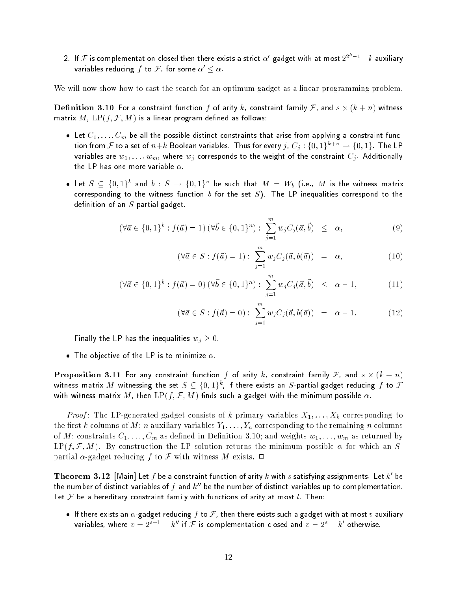2. If  ${\cal F}$  is complementation-closed then there exists a strict  $\alpha'$ -gadget with at most  $2^{2^k-1}-k$  auxiliary variables reducing f to F, for some  $\alpha' \leq \alpha$ .

We will now show how to cast the search for an optimum gadget as a linear programming problem.

 ${\bf D}$ efinition 3.10 For a constraint function  $f$  of arity  $k$ , constraint family  ${\cal F}$ , and  $s\times (k+n)$  witness matrix  $M$ ,  $LP(f, \mathcal{F}, M)$  is a linear program defined as follows:

- Let  $C_1, \ldots, C_m$  be all the possible distinct constraints that arise from applying a constraint function from F to a set of  $n+k$  Boolean variables. Thus for every  $j, C_j: \{0,1\}^{k+n} \to \{0,1\}$ . The LP variables are  $w_1, \ldots, w_m$ , where  $w_j$  corresponds to the weight of the constraint  $C_j$ . Additionally the LP has one more variable  $\alpha$ .
- $\bullet$  Let  $S \,\subseteq\, \{0,1\}^k$  and  $b \,:\, S \,\to\, \{0,1\}^n$  be such that  $M \,=\, W_b$  (i.e.,  $M$  is the witness matrix corresponding to the witness function b for the set  $S$ ). The LP inequalities correspond to the definition of an  $S$ -partial gadget.

$$
(\forall \vec{a} \in \{0,1\}^k : f(\vec{a}) = 1) \ (\forall \vec{b} \in \{0,1\}^n) : \ \sum_{j=1}^m w_j C_j(\vec{a}, \vec{b}) \ \leq \ \alpha,
$$
 (9)

$$
(\forall \vec{a} \in S : f(\vec{a}) = 1) : \sum_{j=1}^{m} w_j C_j(\vec{a}, b(\vec{a})) = \alpha,
$$
 (10)

$$
(\forall \vec{a} \in \{0, 1\}^k : f(\vec{a}) = 0) \ (\forall \vec{b} \in \{0, 1\}^n) : \sum_{j=1}^m w_j C_j(\vec{a}, \vec{b}) \leq \alpha - 1,\tag{11}
$$

$$
(\forall \vec{a} \in S : f(\vec{a}) = 0) : \sum_{j=1}^{m} w_j C_j(\vec{a}, b(\vec{a})) = \alpha - 1.
$$
 (12)

Finally the LP has the inequalities  $w_j \geq 0$ .

• The objective of the LP is to minimize  $\alpha$ .

 ${\bf Proposition \ 3.11}$  For any constraint function  $f$  of arity  $k$ , constraint family  ${\cal F}$ , and  $s\times (k+n)$ witness matrix  $M$  witnessing the set  $S\subseteq \{0,1\}^k$ , if there exists an  $S$ -partial gadget reducing  $f$  to  ${\mathcal F}$ with witness matrix M, then  $LP(f, \mathcal{F}, M)$  finds such a gadget with the minimum possible  $\alpha$ .

*Proof*: The LP-generated gadget consists of  $k$  primary variables  $X_1, \ldots, X_k$  corresponding to the first k columns of M; n auxiliary variables  $Y_1, \ldots, Y_n$  corresponding to the remaining n columns of M; constraints  $C_1, \ldots, C_m$  as defined in Definition 3.10; and weights  $w_1, \ldots, w_m$  as returned by  $LP(f, \mathcal{F}, M)$ . By construction the LP solution returns the minimum possible  $\alpha$  for which an Spartial  $\alpha$ -gadget reducing f to F with witness M exists.  $\Box$ 

Theorem  $\,3.12\,$  [Main] Let  $f$  be a constraint function of arity  $k$  with  $s$  satisfying assignments. Let  $k^\prime$  be the number of distinct variables of f and  $k^{\prime\prime}$  be the number of distinct variables up to complementation. Let  $\mathcal F$  be a hereditary constraint family with functions of arity at most l. Then:

If there exists an  $\alpha$ -gadget reducing f to F, then there exists such a gadget with at most v auxiliary variables, where  $v = 2^{s-1} - k''$  if  ${\cal F}$  is complementation-closed and  $v = 2^s - k'$  otherwise.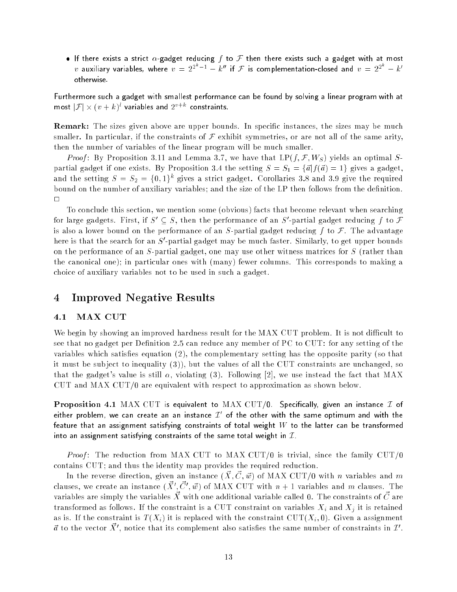• If there exists a strict  $\alpha$ -gadget reducing f to F then there exists such a gadget with at most  $v$  auxiliary variables, where  $v\,=\,2^{2^k-1}\,-\,k^{\prime\prime}$  if  ${\cal F}$  is complementation-closed and  $v\,=\,2^{2^k}\,-\,k^{\prime}$ otherwise.

Furthermore such a gadget with smallest performance can be found by solving a linear program with at most  $|\mathcal{F}| \times (v+k)^l$  variables and  $2^{v+k}$  constraints.

**Remark:** The sizes given above are upper bounds. In specific instances, the sizes may be much smaller. In particular, if the constraints of  $\mathcal F$  exhibit symmetries, or are not all of the same arity, then the number of variables of the linear program will be much smaller.

*Proof*: By Proposition 3.11 and Lemma 3.7, we have that  $LP(f, \mathcal{F}, W_S)$  yields an optimal Spartial gadget if one exists. By Proposition 3.4 the setting  $S = S_1 = {\vec{a}} f({\vec{a}}) = 1$  gives a gadget, and the setting  $S = S_2 = \{0,1\}^k$  gives a strict gadget. Corollaries 3.8 and 3.9 give the required bound on the number of auxiliary variables; and the size of the LP then follows from the definition.  $\Box$ 

To conclude this section, we mention some (obvious) facts that become relevant when searching for large gadgets. First, if  $S' \subseteq S$ , then the performance of an  $S'$ -partial gadget reducing f to  $\mathcal F$ is also a lower bound on the performance of an S-partial gadget reducing  $f$  to  $\mathcal{F}$ . The advantage here is that the search for an  $S'$ -partial gadget may be much faster. Similarly, to get upper bounds on the performance of an S-partial gadget, one may use other witness matrices for S (rather than the canonical one); in particular ones with (many) fewer columns. This corresponds to making a choice of auxiliary variables not to be used in such a gadget.

## <sup>4</sup> Improved Negative Results

### 4.1 MAX CUT

We begin by showing an improved hardness result for the MAX CUT problem. It is not difficult to see that no gadget per Definition 2.5 can reduce any member of PC to CUT: for any setting of the variables which satisfies equation  $(2)$ , the complementary setting has the opposite parity (so that it must be sub ject to inequality (3)), but the values of all the CUT constraints are unchanged, so that the gadget's value is still  $\alpha$ , violating (3). Following [2], we use instead the fact that MAX CUT and MAX CUT/0 are equivalent with respect to approximation as shown below.

**Proposition 4.1** MAX CUT is equivalent to MAX CUT/0. Specifically, given an instance  $I$  of either problem, we can create an an instance  $L$  for the other with the same optimum and with the feature that an assignment satisfying constraints of total weight  $W$  to the latter can be transformed into an assignment satisfying constraints of the same total weight in  $I$ .

*Proof*: The reduction from MAX CUT to MAX CUT/0 is trivial, since the family CUT/0 contains CUT; and thus the identity map provides the required reduction.

In the reverse direction, given an instance  $(\vec{X}, \vec{C}, \vec{w})$  of MAX CUT/0 with n variables and m clauses, we create an instance  $(\vec{X}', \vec{C}', \vec{w})$  of MAX CUT with  $n+1$  variables and  $m$  clauses. The variables are simply the variables  $\vec{X}$  with one additional variable called 0. The constraints of  $\vec{C}$  are transformed as follows. If the constraint is a CUT constraint on variables  $X_i$  and  $X_j$  it is retained as is. If the constraint is  $T(X_i)$  it is replaced with the constraint CUT( $X_i$ , 0). Given a assignment  $\vec{a}$  to the vector  $\vec{X}',$  notice that its complement also satisfies the same number of constraints in  $\mathcal{I}'.$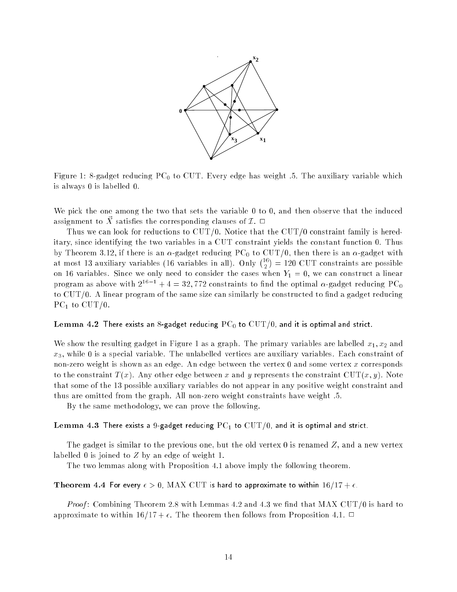

Figure 1: 8-gadget reducing  $PC_0$  to CUT. Every edge has weight .5. The auxiliary variable which is always 0 is labelled 0.

We pick the one among the two that sets the variable 0 to 0, and then observe that the induced assignment to  $\vec{X}$  satisfies the corresponding clauses of  $\mathcal{I}$ .  $\Box$ 

Thus we can look for reductions to  $\text{CUT}/0$ . Notice that the  $\text{CUT}/0$  constraint family is hereditary, since identifying the two variables in a CUT constraint yields the constant function 0. Thus by Theorem 3.12, if there is an  $\alpha$ -gadget reducing PC<sub>0</sub> to CUT/0, then there is an  $\alpha$ -gadget with at most 13 auxiliary variables (16 variables in all). Only  $\binom{16}{2}$  $\overline{\phantom{a}}$ . . = 120 CUT constraints are possible on 16 variables. Since we only need to consider the cases when  $Y_1 = 0$ , we can construct a linear program as above with  $2^{16-1} + 4 = 32,772$  constraints to find the optimal  $\alpha$ -gadget reducing PC<sub>0</sub> to  $\text{CUT}/0$ . A linear program of the same size can similarly be constructed to find a gadget reducing PC<sub>1</sub> to CUT/0.

#### Lemma 4.2 There exists an 8-gadget reducing  ${\rm PC}_0$  to  ${\rm CUT}/0$ , and it is optimal and strict.

We show the resulting gadget in Figure 1 as a graph. The primary variables are labelled  $x_1, x_2$  and  $x_3$ , while 0 is a special variable. The unlabelled vertices are auxiliary variables. Each constraint of non-zero weight is shown as an edge. An edge between the vertex 0 and some vertex x corresponds to the constraint  $T(x)$ . Any other edge between x and y represents the constraint  $CUT(x, y)$ . Note that some of the 13 possible auxiliary variables do not appear in any positive weight constraint and thus are omitted from the graph. All non-zero weight constraints have weight .5.

By the same methodology, we can prove the following.

#### Lemma 4.3 There exists a 9-gadget reducing  $PC_1$  to  $CUT/0$ , and it is optimal and strict.

The gadget is similar to the previous one, but the old vertex 0 is renamed  $Z$ , and a new vertex labelled 0 is joined to Z by an edge of weight 1.

The two lemmas along with Proposition 4.1 above imply the following theorem.

### Theorem 4.4 For every  $\epsilon > 0$ , MAX CUT is hard to approximate to within  $16/17 + \epsilon$ .

*Proof*: Combining Theorem 2.8 with Lemmas 4.2 and 4.3 we find that MAX CUT/0 is hard to approximate to within  $16/17 + \epsilon$ . The theorem then follows from Proposition 4.1.  $\Box$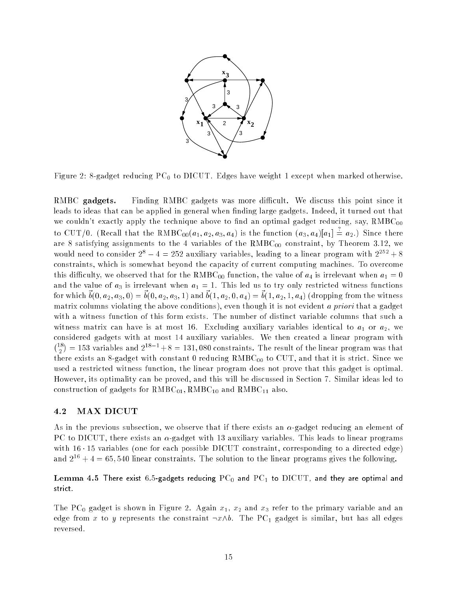

Figure 2: 8-gadget reducing  $PC_0$  to DICUT. Edges have weight 1 except when marked otherwise.

RMBC gadgets. Finding RMBC gadgets was more difficult. We discuss this point since it leads to ideas that can be applied in general when finding large gadgets. Indeed, it turned out that we couldn't exactly apply the technique above to find an optimal gadget reducing, say,  $RMBC_{00}$ to CUT/0. (Recall that the RMBC<sub>00</sub>( $a_1, a_2, a_3, a_4$ ) is the function  $(a_3, a_4)[a_1] \doteq a_2$ .) Since there are 8 satisfying assignments to the 4 variables of the  $RMBC_{00}$  constraint, by Theorem 3.12, we would need to consider  $2^8 - 4 = 252$  auxiliary variables, leading to a linear program with  $2^{252} + 8$ constraints, which is somewhat beyond the capacity of current computing machines. To overcome this difficulty, we observed that for the RMBC<sub>00</sub> function, the value of  $a_4$  is irrelevant when  $a_1 = 0$ and the value of  $a_3$  is irrelevant when  $a_1 = 1$ . This led us to try only restricted witness functions for which  $\vec{b}(0, a_2, a_3, 0) = \vec{b}(0, a_2, a_3, 1)$  and  $\vec{b}(1, a_2, 0, a_4) = \vec{b}(1, a_2, 1, a_4)$  (dropping from the witness matrix columns violating the above conditions), even though it is not evident a priori that a gadget with a witness function of this form exists. The number of distinct variable columns that such a witness matrix can have is at most 16. Excluding auxiliary variables identical to  $a_1$  or  $a_2$ , we considered gadgets with at most 14 auxiliary variables. We then created a linear program with <sup>18</sup>  $= 153$  variables and  $2^{18-1} + 8 = 131,080$  constraints. The result of the linear program was that there exists an 8-gadget with constant 0 reducing  $RMBC_{00}$  to CUT, and that it is strict. Since we used a restricted witness function, the linear program does not prove that this gadget is optimal. However, its optimality can be proved, and this will be discussed in Section 7. Similar ideas led to construction of gadgets for  $RMBC_{01}$ ,  $RMBC_{10}$  and  $RMBC_{11}$  also.

### 4.2 MAX DICUT

As in the previous subsection, we observe that if there exists an  $\alpha$ -gadget reducing an element of PC to DICUT, there exists an  $\alpha$ -gadget with 13 auxiliary variables. This leads to linear programs with  $16 \cdot 15$  variables (one for each possible DICUT constraint, corresponding to a directed edge) and  $2^{16} + 4 = 65,540$  linear constraints. The solution to the linear programs gives the following.

Lemma 4.5 There exist 6.5-gadgets reducing  $PC_0$  and  $PC_1$  to  $DICUT$ , and they are optimal and strict.

The PC<sub>0</sub> gadget is shown in Figure 2. Again  $x_1, x_2$  and  $x_3$  refer to the primary variable and an edge from x to y represents the constraint  $\neg x \wedge b$ . The PC<sub>1</sub> gadget is similar, but has all edges reversed.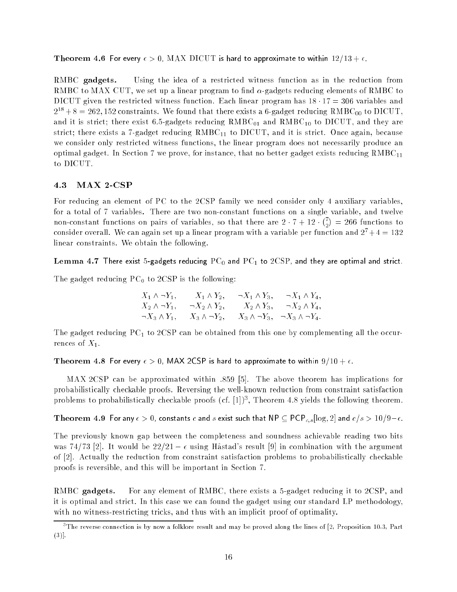Theorem 4.6 For every  $\epsilon > 0$ , MAX DICUT is hard to approximate to within  $12/13 + \epsilon$ .

RMBC gadgets. Using the idea of a restricted witness function as in the reduction from RMBC to MAX CUT, we set up a linear program to find  $\alpha$ -gadgets reducing elements of RMBC to DICUT given the restricted witness function. Each linear program has  $18 \cdot 17 = 306$  variables and  $2^{18} + 8 = 262, 152$  constraints. We found that there exists a 6-gadget reducing RMBC<sub>00</sub> to DICUT. and it is strict; there exist 6.5-gadgets reducing  $RMBC_{01}$  and  $RMBC_{10}$  to DICUT, and they are strict; there exists a 7-gadget reducing  $RMBC_{11}$  to DICUT, and it is strict. Once again, because we consider only restricted witness functions, the linear program does not necessarily produce an optimal gadget. In Section 7 we prove, for instance, that no better gadget exists reducing  $RMBC_{11}$ to DICUT.

### 4.3 MAX 2-CSP

For reducing an element of PC to the 2CSP family we need consider only 4 auxiliary variables, for a total of 7 variables. There are two non-constant functions on a single variable, and twelve non-constant functions on pairs of variables, so that there are 2 7 + 12 77  $\overline{\phantom{a}}$  consider overall. We can again set up a linear program with a variable per function and  $27+\frac{1}{2}$  = 132 linear constraints. We obtain the following.

Lemma 4.7 There exist 5-gadgets reducing  $PC_0$  and  $PC_1$  to  $2CSP$ , and they are optimal and strict.

The gadget reducing  $PC_0$  to 2CSP is the following:

| $X_1 \wedge \neg Y_1,$  | $X_1 \wedge Y_2$ ,     | $\neg X_1 \wedge Y_3$ , | $\neg X_1 \wedge Y_4,$                               |
|-------------------------|------------------------|-------------------------|------------------------------------------------------|
| $X_2 \wedge \neg Y_1$ , | $\neg X_2 \wedge Y_2,$ | $X_2 \wedge Y_3$        | $\neg X_2 \wedge Y_4,$                               |
| $\neg X_3 \wedge Y_1$ , | $X_3 \wedge \neg Y_2$  |                         | $X_3 \wedge \neg Y_3$ , $\neg X_3 \wedge \neg Y_4$ . |

The gadget reducing  $PC<sub>1</sub>$  to 2CSP can be obtained from this one by complementing all the occurrences of  $X_1$ .

Theorem 4.8 For every  $\epsilon > 0$ , MAX 2CSP is hard to approximate to within  $9/10 + \epsilon$ .

MAX 2CSP can be approximated within :859 [5]. The above theorem has implications for probabilistically checkable proofs. Reversing the well-known reduction from constraint satisfaction problems to probabilistically checkable proofs (cf. [1])", I heorem 4.8 yields the following theorem.

Theorem 4.9 For any  $\epsilon > 0$ , constants c and s exist such that NP  $\subseteq$  PCP<sub>c,s</sub>[log, 2] and  $c/s > 10/9-\epsilon$ .

The previously known gap between the completeness and soundness achievable reading two bits was 74/73 [2]. It would be  $22/21 - \epsilon$  using Hastad's result [9] in combination with the argument of [2]. Actually the reduction from constraint satisfaction problems to probabilistically checkable proofs is reversible, and this will be important in Section 7.

RMBC gadgets. For any element of RMBC, there exists a 5-gadget reducing it to 2CSP, and it is optimal and strict. In this case we can found the gadget using our standard LP methodology, with no witness-restricting tricks, and thus with an implicit proof of optimality.

<sup>3</sup> The reverse connection is by now a folklore result and may be proved along the lines of [2, Proposition 10.3, Part  $(3)$ ].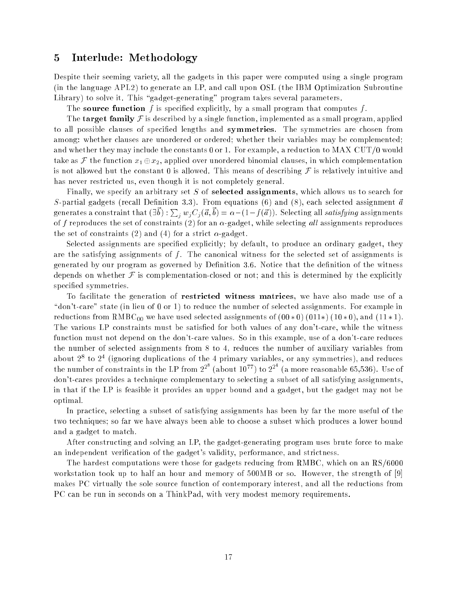### <sup>5</sup> Interlude: Methodology

Despite their seeming variety, all the gadgets in this paper were computed using a single program (in the language APL2) to generate an LP, and call upon OSL (the IBM Optimization Subroutine Library) to solve it. This "gadget-generating" program takes several parameters.

The source function f is specified explicitly, by a small program that computes f.

The  $\mathbf{target}$  family  $\mathcal F$  is described by a single function, implemented as a small program, applied to all possible clauses of specified lengths and **symmetries**. The symmetries are chosen from among: whether clauses are unordered or ordered; whether their variables may be complemented; and whether they may include the constants 0 or 1. For example, a reduction to MAX CUT/0 would take as F the function  $x_1 \oplus x_2$ , applied over unordered binomial clauses, in which complementation is not allowed but the constant 0 is allowed. This means of describing  $\mathcal F$  is relatively intuitive and has never restricted us, even though it is not completely general.

Finally, we specify an arbitrary set  $S$  of  $\bm{\rm selected}$   $\bm{\rm assigned}$  assignments, which allows us to search for S-partial gadgets (recall Definition 3.3). From equations (6) and (8), each selected assignment  $\vec{a}$ generates a constraint that  $(\exists \vec{b}): \sum_j w_j C_j(\vec{a},\vec{b}) = \alpha - (1-f(\vec{a}))$ . Selecting all *satisfying* assignments of f reproduces the set of constraints (2) for an  $\alpha$ -gadget, while selecting all assignments reproduces the set of constraints (2) and (4) for a strict  $\alpha$ -gadget.

Selected assignments are specified explicitly; by default, to produce an ordinary gadget, they are the satisfying assignments of  $f$ . The canonical witness for the selected set of assignments is generated by our program as governed by Definition 3.6. Notice that the definition of the witness depends on whether  $\mathcal F$  is complementation-closed or not; and this is determined by the explicitly specied symmetries.

To facilitate the generation of **restricted witness matrices**, we have also made use of a " $\alpha$  't-care" state (in lieu of 0 or 1) to reduce the number of selected assignments. For example in reductions from  $RMBC_{00}$  we have used selected assignments of  $(00 * 0)$   $(011*)$   $(10 * 0)$ , and  $(11 * 1)$ . The various LP constraints must be satisfied for both values of any don't-care, while the witness function must not depend on the don't-care values. So in this example, use of a don't-care reduces the number of selected assignments from 8 to 4, reduces the number of auxiliary variables from about 27 to 27 the number of constraints in the LP from  $2^{2^8}$  (about  $10^{77}$ ) to  $2^{2^4}$  (a more reasonable 65,536). Use of don't-cares provides a technique complementary to selecting a subset of all satisfying assignments, in that if the LP is feasible it provides an upper bound and a gadget, but the gadget may not be optimal.

In practice, selecting a subset of satisfying assignments has been by far the more useful of the two techniques; so far we have always been able to choose a subset which produces a lower bound and a gadget to match.

After constructing and solving an LP, the gadget-generating program uses brute force to make an independent verification of the gadget's validity, performance, and strictness.

The hardest computations were those for gadgets reducing from RMBC, which on an RS/6000 workstation took up to half an hour and memory of 500MB or so. However, the strength of [9] makes PC virtually the sole source function of contemporary interest, and all the reductions from PC can be run in seconds on a ThinkPad, with very modest memory requirements.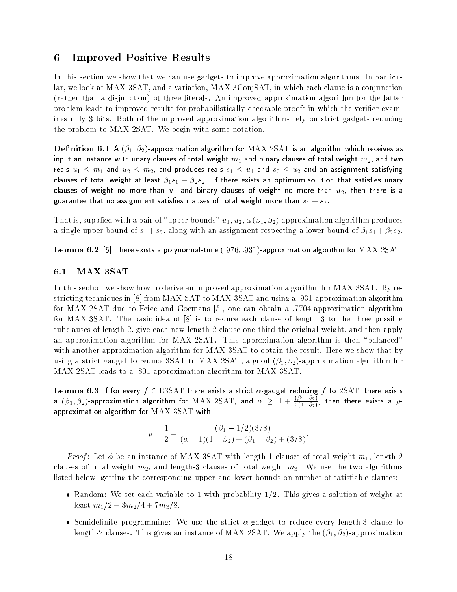### <sup>6</sup> Improved Positive Results

In this section we show that we can use gadgets to improve approximation algorithms. In particular, we look at MAX 3SAT, and a variation, MAX 3ConjSAT, in which each clause is a conjunction (rather than a disjunction) of three literals. An improved approximation algorithm for the latter problem leads to improved results for probabilistically checkable proofs in which the verifier examines only 3 bits. Both of the improved approximation algorithms rely on strict gadgets reducing the problem to MAX 2SAT. We begin with some notation.

**Definition 6.1** A  $(\beta_1, \beta_2)$ -approximation algorithm for MAX 2SAT is an algorithm which receives as input an instance with unary clauses of total weight  $m_1$  and binary clauses of total weight  $m_2$ , and two reals  $u_1 \leq m_1$  and  $u_2 \leq m_2$ , and produces reals  $s_1 \leq u_1$  and  $s_2 \leq u_2$  and an assignment satisfying clauses of total weight at least  $\beta_1 s_1 + \beta_2 s_2$ . If there exists an optimum solution that satisfies unary clauses of weight no more than  $u_1$  and binary clauses of weight no more than  $u_2$ , then there is a guarantee that no assignment satisfies clauses of total weight more than  $s_1 + s_2$ .

That is, supplied with a pair of "upper bounds"  $u_1, u_2, a$  ( $\beta_1, \beta_2$ )-approximation algorithm produces a single upper bound of  $s_1 + s_2$ , along with an assignment respecting a lower bound of  $\beta_1 s_1 + \beta_2 s_2$ .

Lemma 6.2 [5] There exists a polynomial-time (:976; :931)-approximation algorithm for MAX 2SAT.

### 6.1 MAX 3SAT

In this section we show how to derive an improved approximation algorithm for MAX 3SAT. By restricting techniques in [8] from MAX SAT to MAX 3SAT and using a :931-approximation algorithm for MAX 2SAT due to Feige and Goemans [5], one can obtain a :7704-approximation algorithm for MAX 3SAT. The basic idea of [8] is to reduce each clause of length 3 to the three possible subclauses of length 2, give each new length-2 clause one-third the original weight, and then apply an approximation algorithm for MAX 2SAT. This approximation algorithm is then "balanced" with another approximation algorithm for MAX 3SAT to obtain the result. Here we show that by using a strict gadget to reduce 3SAT to MAX 2SAT, a good  $(\beta_1, \beta_2)$ -approximation algorithm for MAX 2SAT leads to a :801-approximation algorithm for MAX 3SAT.

Lemma 6.3 If for every  $f \in \mathrm{ESSAT}$  there exists a strict  $\alpha$ -gadget reducing f to 2SAT, there exists a  $(\beta_1,\beta_2)$ -approximation algorithm for  ${\rm MAX}$   $2{\rm SAT}$ , and  $\alpha~\geq~1+\frac{(\beta_1-\beta_2)}{2(1-\beta_2)},$  then there exists a  $\rho$ approximation algorithm for MAX 3SAT with

$$
\rho = \frac{1}{2} + \frac{(\beta_1 - 1/2)(3/8)}{(\alpha - 1)(1 - \beta_2) + (\beta_1 - \beta_2) + (3/8)}.
$$

*Proof*: Let  $\phi$  be an instance of MAX 3SAT with length-1 clauses of total weight  $m_1$ , length-2 clauses of total weight  $m_2$ , and length-3 clauses of total weight  $m_3$ . We use the two algorithms listed below, getting the corresponding upper and lower bounds on number of satisfiable clauses:

- Random: We set each variable to 1 with probability  $1/2$ . This gives a solution of weight at least  $m_1/2 + 3m_2/4 + 7m_3/8$ .
- Semidefinite programming: We use the strict  $\alpha$ -gadget to reduce every length-3 clause to length-2 clauses. This gives an instance of MAX 2SAT. We apply the  $(\beta_1, \beta_2)$ -approximation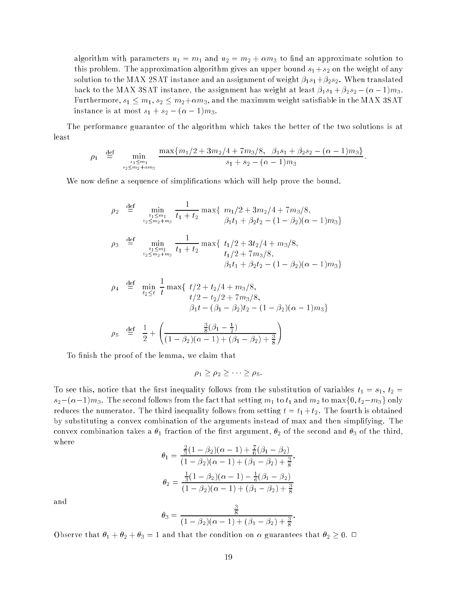algorithm with parameters  $u_1 = m_1$  and  $u_2 = m_2 + \alpha m_3$  to find an approximate solution to this problem. The approximation algorithm gives an upper bound  $s_1 + s_2$  on the weight of any solution to the MAX 2SAT instance and an assignment of weight  $\beta_1 s_1 + \beta_2 s_2$ . When translated back to the MAX 3SAT instance, the assignment has weight at least  $\beta_1 s_1 + \beta_2 s_2 - (\alpha - 1)m_3$ . Furthermore,  $s_1 \leq m_1, s_2 \leq m_2+\alpha m_3$ , and the maximum weight satisfiable in the MAX 3SAT instance is at most  $s_1 + s_2 - (\alpha - 1)m_3$ .

The performance guarantee of the algorithm which takes the better of the two solutions is at least

$$
\rho_1 \stackrel{\text{def}}{=} \min_{\substack{s_1 \le m_1 \\ s_2 \le m_2 + \alpha m_3}} \frac{\max\{m_1/2 + 3m_2/4 + 7m_3/8, \beta_1 s_1 + \beta_2 s_2 - (\alpha - 1)m_3\}}{s_1 + s_2 - (\alpha - 1)m_3}
$$

We now define a sequence of simplifications which will help prove the bound.

$$
\rho_2 \stackrel{\text{def}}{=} \min_{\substack{t_1 \le m_1 \\ t_2 \le m_2 + m_3}} \frac{1}{t_1 + t_2} \max\{m_1/2 + 3m_2/4 + 7m_3/8, \beta_1 t_1 + \beta_2 t_2 - (1 - \beta_2)(\alpha - 1)m_3\}
$$
\n
$$
\rho_3 \stackrel{\text{def}}{=} \min_{\substack{t_1 \le m_1 \\ t_2 \le m_2 + m_3}} \frac{1}{t_1 + t_2} \max\{t_1/2 + 3t_2/4 + m_3/8, \frac{t_1/2 + 7m_3/8}{t_1/2 + 7m_3/8}, \frac{t_1/2 + 7m_3/8}{\beta_1 t_1 + \beta_2 t_2 - (1 - \beta_2)(\alpha - 1)m_3\}}
$$

$$
\rho_4 \stackrel{\text{def}}{=} \min_{t_2 \le t} \frac{1}{t} \max\{ \ t/2 + t_2/4 + m_3/8, \t\ t/2 - t_2/2 + 7m_3/8, \t\beta_1 t - (\beta_1 - \beta_2)t_2 - (1 - \beta_2)(\alpha - 1)m_3 \}
$$
\n
$$
\rho_5 \stackrel{\text{def}}{=} \frac{1}{2} + \left( \frac{\frac{3}{8}(\beta_1 - \frac{1}{2})}{(1 - \beta_2)(\alpha - 1) + (\beta_1 - \beta_2) + \frac{3}{8}} \right)
$$

To finish the proof of the lemma, we claim that

$$
\rho_1 \geq \rho_2 \geq \cdots \geq \rho_5.
$$

To see this, notice that the first inequality follows from the substitution of variables  $t_1 = s_1$ ,  $t_2 =$  $s_2-(\alpha-1)m_3$ . The second follows from the fact that setting  $m_1$  to  $t_1$  and  $m_2$  to max $\{0,t_2-m_3\}$  only reduces the numerator. The third inequality follows from setting  $t = t_1 + t_2$ . The fourth is obtained by substituting a convex combination of the arguments instead of max and then simplifying. The convex combination takes a  $\theta_1$  fraction of the first argument,  $\theta_2$  of the second and  $\theta_3$  of the third, where  $(1)$ 

$$
\theta_1 = \frac{\frac{2}{3}(1 - \beta_2)(\alpha - 1) + \frac{7}{6}(\beta_1 - \beta_2)}{(1 - \beta_2)(\alpha - 1) + (\beta_1 - \beta_2) + \frac{3}{8}},
$$

$$
\theta_2 = \frac{\frac{1}{3}(1 - \beta_2)(\alpha - 1) - \frac{1}{6}(\beta_1 - \beta_2)}{(1 - \beta_2)(\alpha - 1) + (\beta_1 - \beta_2) + \frac{3}{8}}
$$

and

$$
\theta_3 = \frac{\frac{3}{8}}{(1 - \beta_2)(\alpha - 1) + (\beta_1 - \beta_2) + \frac{3}{8}}
$$

:

Observe that  $\theta_1 + \theta_2 + \theta_3 = 1$  and that the condition on  $\alpha$  guarantees that  $\theta_2 \geq 0$ .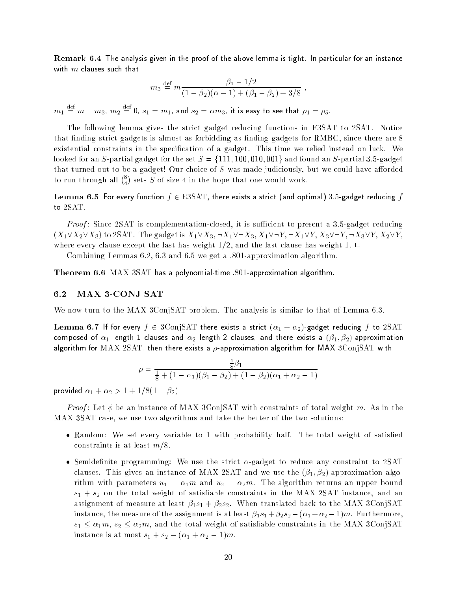Remark 6.4 The analysis given in the proof of the above lemma is tight. In particular for an instance with  $m$  clauses such that

$$
m_3 \stackrel{\text{def}}{=} m \frac{\beta_1 - 1/2}{(1 - \beta_2)(\alpha - 1) + (\beta_1 - \beta_2) + 3/8}
$$

 $m_1\,\equiv\, m-m_3,\ m_2\,\equiv\, 0,\ s_1\,=\,m_1,$  and  $s_2\,=\,\alpha m_3,$  it is easy to see that  $\rho_1\,=\,\rho_5$ .

The following lemma gives the strict gadget reducing functions in E3SAT to 2SAT. Notice that finding strict gadgets is almost as forbidding as finding gadgets for RMBC, since there are 8 existential constraints in the specification of a gadget. This time we relied instead on luck. We looked for an S-partial gadget for the set  $S = \{111, 100, 010, 001\}$  and found an S-partial 3.5-gadget that turned out to be a gadget! Our choice of  $S$  was made judiciously, but we could have afforded to run through all  $\binom{8}{2}$  sets S of size 4 in the hope that one would work.

### Lemma 6.5 For every function  $f \in \mathrm{ESSAT}$ , there exists a strict (and optimal) 3.5-gadget reducing  $f$ to 2SAT.

*Proof*: Since 2SAT is complementation-closed, it is sufficient to present a 3.5-gadget reducing  $(X_1 \vee X_2 \vee X_3)$  to 2SAT. The gadget is  $X_1 \vee X_3$ ,  $\neg X_1 \vee \neg X_3$ ,  $X_1 \vee \neg Y$ ,  $\neg X_1 \vee Y$ ,  $X_3 \vee \neg Y$ ,  $\neg X_3 \vee Y$ ,  $X_2 \vee Y$ , where every clause except the last has weight 1/2, and the last clause has weight 1.  $\Box$ 

Combining Lemmas  $6.2, 6.3$  and  $6.5$  we get a  $.801$ -approximation algorithm.

**Theorem 6.6** MAX 3SAT has a polynomial-time  $.801$ -approximation algorithm.

#### 6.2 MAX 3-CONJ SAT

We now turn to the MAX 3ConjSAT problem. The analysis is similar to that of Lemma 6.3.

Lemma 6.7 If for every  $f \in 3\text{ConjSAT}$  there exists a strict  $(\alpha_1 + \alpha_2)$ -gadget reducing f to 2SAT composed of  $\alpha_1$  length-1 clauses and  $\alpha_2$  length-2 clauses, and there exists a  $(\beta_1, \beta_2)$ -approximation algorithm for  $MAX$  2SAT, then there exists a  $\rho$ -approximation algorithm for MAX 3ConjSAT with

$$
\rho = \frac{\frac{1}{8}\beta_1}{\frac{1}{8} + (1 - \alpha_1)(\beta_1 - \beta_2) + (1 - \beta_2)(\alpha_1 + \alpha_2 - 1)}
$$

provided  $\alpha_1 + \alpha_2 > 1 + 1/8(1 - \beta_2)$ .

*Proof*: Let  $\phi$  be an instance of MAX 3ConjSAT with constraints of total weight m. As in the MAX 3SAT case, we use two algorithms and take the better of the two solutions:

- Random: We set every variable to 1 with probability half. The total weight of satisfied constraints is at least  $m/8$ .
- Semidefinite programming: We use the strict  $\alpha$ -gadget to reduce any constraint to 2SAT clauses. This gives an instance of MAX 2SAT and we use the  $(\beta_1, \beta_2)$ -approximation algorithm with parameters  $u_1 = \alpha_1 m$  and  $u_2 = \alpha_2 m$ . The algorithm returns an upper bound  $s_1 + s_2$  on the total weight of satisfiable constraints in the MAX 2SAT instance, and an assignment of measure at least  $\beta_1 s_1 + \beta_2 s_2$ . When translated back to the MAX 3ConjSAT instance, the measure of the assignment is at least  $\beta_1 s_1 + \beta_2 s_2 - (\alpha_1 + \alpha_2 - 1)m$ . Furthermore,  $s_1 \leq \alpha_1 m$ ,  $s_2 \leq \alpha_2 m$ , and the total weight of satisfiable constraints in the MAX 3ConjSAT instance is at most  $s_1 + s_2 - (\alpha_1 + \alpha_2 - 1)m$ .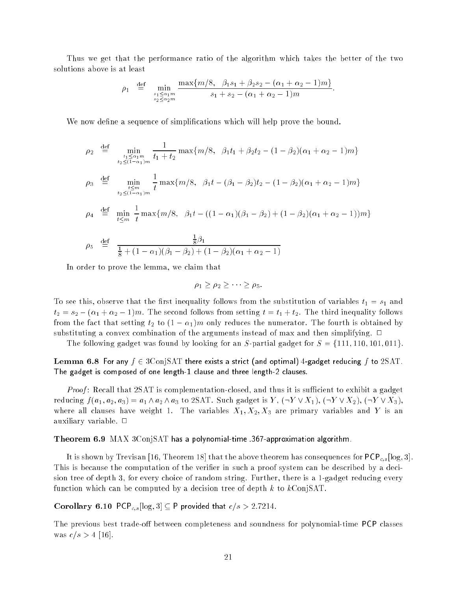Thus we get that the performance ratio of the algorithm which takes the better of the two solutions above is at least

$$
\rho_1 \stackrel{\text{def}}{=} \min_{\substack{s_1 \le \alpha_1 m \\ s_2 \le \alpha_2 m}} \frac{\max\{m/8, \beta_1 s_1 + \beta_2 s_2 - (\alpha_1 + \alpha_2 - 1)m\}}{s_1 + s_2 - (\alpha_1 + \alpha_2 - 1)m}.
$$

We now define a sequence of simplifications which will help prove the bound.

$$
\rho_2 \stackrel{\text{def}}{=} \min_{\substack{t_1 \le \alpha_1 m \\ t_2 \le (1 - \alpha_1)m}} \frac{1}{t_1 + t_2} \max\{m/8, \beta_1 t_1 + \beta_2 t_2 - (1 - \beta_2)(\alpha_1 + \alpha_2 - 1)m\}
$$
\n
$$
\rho_3 \stackrel{\text{def}}{=} \min_{\substack{t \le m \\ t_2 \le (1 - \alpha_1)m}} \frac{1}{t} \max\{m/8, \beta_1 t - (\beta_1 - \beta_2)t_2 - (1 - \beta_2)(\alpha_1 + \alpha_2 - 1)m\}
$$
\n
$$
\rho_4 \stackrel{\text{def}}{=} \min_{t \le m} \frac{1}{t} \max\{m/8, \beta_1 t - ((1 - \alpha_1)(\beta_1 - \beta_2) + (1 - \beta_2)(\alpha_1 + \alpha_2 - 1))m\}
$$
\n
$$
\rho_5 \stackrel{\text{def}}{=} \frac{\frac{1}{8}\beta_1}{\frac{1}{8} + (1 - \alpha_1)(\beta_1 - \beta_2) + (1 - \beta_2)(\alpha_1 + \alpha_2 - 1)}
$$

In order to prove the lemma, we claim that

$$
\rho_1 \geq \rho_2 \geq \cdots \geq \rho_5.
$$

To see this, observe that the first inequality follows from the substitution of variables  $t_1 = s_1$  and  $t_2 = s_2 - (\alpha_1 + \alpha_2 - 1)m$ . The second follows from setting  $t = t_1 + t_2$ . The third inequality follows from the fact that setting  $t_2$  to  $(1 - \alpha_1)m$  only reduces the numerator. The fourth is obtained by substituting a convex combination of the arguments instead of max and then simplifying.  $\Box$ 

The following gadget was found by looking for an S-partial gadget for  $S = \{111, 110, 101, 011\}$ .

Lemma 6.8 For any  $f \in \mathrm{3ConjSAT}$  there exists a strict (and optimal) 4-gadget reducing f to  $\mathrm{2SAT}$ . The gadget is composed of one length-1 clause and three length-2 clauses.

*Proof*: Recall that  $2SAT$  is complementation-closed, and thus it is sufficient to exhibit a gadget reducing  $f(a_1, a_2, a_3) = a_1 \wedge a_2 \wedge a_3$  to 2SAT. Such gadget is  $Y, (\neg Y \vee X_1), (\neg Y \vee X_2), (\neg Y \vee X_3),$ where all clauses have weight 1. The variables  $X_1, X_2, X_3$  are primary variables and Y is an auxiliary variable.  $\square$ 

#### Theorem 6.9 MAX 3ConjSAT has a polynomial-time .367-approximation algorithm.

It is shown by Trevisan [16, Theorem 18] that the above theorem has consequences for  $PCP_{c,s}$  [log, 3]. This is because the computation of the verifier in such a proof system can be described by a decision tree of depth 3, for every choice of random string. Further, there is a 1-gadget reducing every function which can be computed by a decision tree of depth  $k$  to  $k\text{ConjSAT}$ .

Corollary 6.10 PCP<sub>c,s</sub> [log, 3]  $\subseteq$  P provided that  $c/s > 2.7214$ .

The previous best trade-off between completeness and soundness for polynomial-time PCP classes was  $c/s > 4$  [16].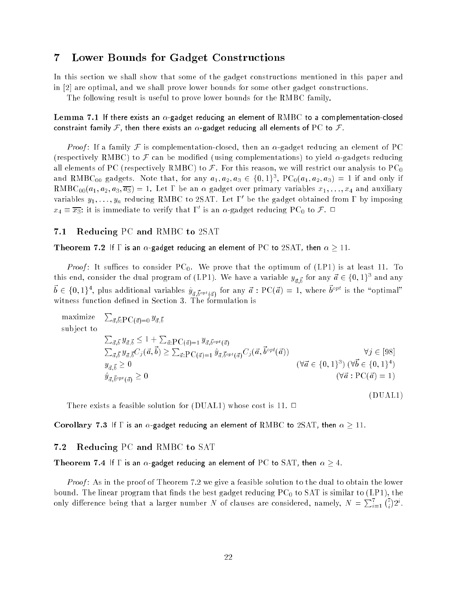### <sup>7</sup> Lower Bounds for Gadget Constructions

In this section we shall show that some of the gadget constructions mentioned in this paper and in [2] are optimal, and we shall prove lower bounds for some other gadget constructions.

The following result is useful to prove lower bounds for the RMBC family.

Lemma 7.1 If there exists an  $\alpha$ -gadget reducing an element of RMBC to a complementation-closed constraint family F, then there exists an  $\alpha$ -gadget reducing all elements of PC to F.

*Proof*: If a family F is complementation-closed, then an  $\alpha$ -gadget reducing an element of PC (respectively RMBC) to  $\mathcal F$  can be modified (using complementations) to yield  $\alpha$ -gadgets reducing all elements of PC (respectively RMBC) to  $\mathcal F$ . For this reason, we will restrict our analysis to PC<sub>0</sub> and RMBC $_{00}$  gadgets. Note that, for any  $a_1,a_2,a_3\in\{0,1\}^\circ,$   $\mathrm{PC}_0(a_1,a_2,a_3)=1$  if and only if RMBC<sub>00</sub>( $a_1, a_2, a_3, \overline{a_3}$ ) = 1. Let  $\Gamma$  be an  $\alpha$  gadget over primary variables  $x_1, \ldots, x_4$  and auxiliary variables  $y_1,\ldots,y_n$  reducing KMBC to ZSAT. Let 1 be the gadget obtained from 1 by imposing  $x_4 \equiv x_3$ : it is immediate to verify that 1 is an  $\alpha$ -gadget reducing PC<sub>0</sub> to F.  $\sqcup$ 

### 7.1 Reducing PC and RMBC to 2SAT

Theorem 7.2 If  $\Gamma$  is an  $\alpha$ -gadget reducing an element of PC to 2SAT, then  $\alpha \geq 11$ .

*Proof*: It suffices to consider  $PC_0$ . We prove that the optimum of (LP1) is at least 11. To this end, consider the dual program of (LP1). We have a variable  $y_{\vec a, \vec b}$  for any  $\vec a \in \{0,1\}^3$  and any  $\vec{b}\in\{0,1\}^4,$  plus additional variables  $\hat{y}_{\vec{a},\vec{b}^{opt}(\vec{a})}$  for any  $\vec{a}:\text{PC}(\vec{a})=1,$  where  $\vec{b}^{opt}$  is the "optimal" witness function defined in Section 3. The formulation is

maximize  $\vec{a}, \vec{b}$ : $\text{PC}(\vec{a}) = 0 \stackrel{y}{d}, \vec{b}$ sub ject to  $\sum_{\vec{a}, \vec{b}} y_{\vec{a}, \vec{b}} \leq 1 + \sum_{\vec{a}: {\rm PC}(\vec{a})=1} y_{\vec{a}, \vec{b}^{opt}(\vec{a})}$  $\sum_{\vec{a}, \vec{b}} y_{\vec{a}, \vec{b}} C_j(\vec{a}, \vec{b}) \geq \sum_{\vec{a} : \mathrm{PC}(\vec{a}) = 1} \hat{y}_{\vec{a}, \vec{b}^{opt}(\vec{a})} C_j(\vec{a}, \vec{b})$  $\forall j \in [98]$  $y_{\vec{\sigma} \cdot \vec{b}} \geq 0$  $_{\vec{a}, \vec{b}} \geq 0$  ( $\forall \vec{a} \in \{0, 1\}^3$ ) ( $\forall \vec{b} \in \{0, 1\}^4$ )  $y_{\vec a,\vec b}$  $(\forall \vec{a} : \text{PC}(\vec{a}) = 1)$ (DUAL1)

There exists a feasible solution for (DUAL1) whose cost is 11.  $\Box$ 

Corollary 7.3 If  $\Gamma$  is an  $\alpha$ -gadget reducing an element of RMBC to 2SAT, then  $\alpha \geq 11$ .

#### 7.2 Reducing PC and RMBC to SAT

Theorem 7.4 If  $\Gamma$  is an  $\alpha$ -gadget reducing an element of PC to SAT, then  $\alpha \geq 4$ .

*Proof* : As in the proof of Theorem 7.2 we give a feasible solution to the dual to obtain the lower bound. The linear program that finds the best gadget reducing  $PC_0$  to SAT is similar to (LP1), the only difference being that a larger number N of clauses are considered, namely,  $N = \sum_{i=1}^{7} {7 \choose i} 2^i$ .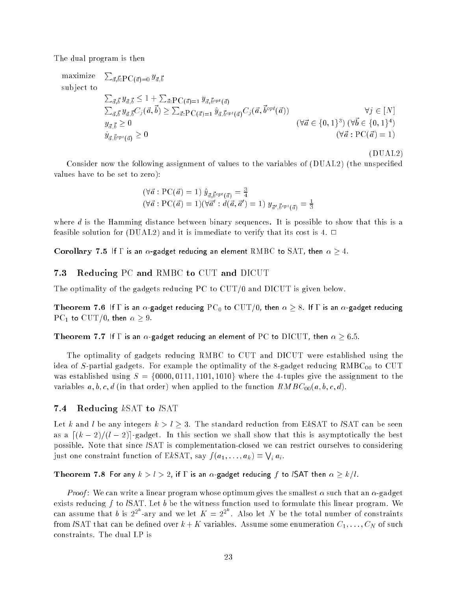The dual program is then

maximize 
$$
\sum_{\vec{a}, \vec{b}} \sum_{\vec{a}, \vec{b}} y_{\vec{a}, \vec{b}} \le 1 + \sum_{\vec{a}: PC(\vec{a})=1} y_{\vec{a}, \vec{b}^{opt}(\vec{a})}
$$
  
\n $\sum_{\vec{a}, \vec{b}} y_{\vec{a}, \vec{b}} \le 1 + \sum_{\vec{a}: PC(\vec{a})=1} y_{\vec{a}, \vec{b}^{opt}(\vec{a})}$   
\n $\sum_{\vec{a}, \vec{b}} y_{\vec{a}, \vec{b}} C_j(\vec{a}, \vec{b}) \ge \sum_{\vec{a}: PC(\vec{a})=1} \hat{y}_{\vec{a}, \vec{b}^{opt}(\vec{a})} C_j(\vec{a}, \vec{b}^{opt}(\vec{a}))$   
\n $\forall \vec{a} \in \{0, 1\}^3$  ( $\forall \vec{a} \in \{0, 1\}^4$ )  
\n $\hat{y}_{\vec{a}, \vec{b}^{opt}(\vec{a})} \ge 0$   
\n $(\forall \vec{a}: PC(\vec{a})=1)$ 

Consider now the following assignment of values to the variables of (DUAL2) (the unspecied values have to be set to zero):

(DUAL2)

$$
(\forall \vec{a} : PC(\vec{a}) = 1) \hat{y}_{\vec{a}, \vec{b}^{opt}(\vec{a})} = \frac{3}{4}
$$
  

$$
(\forall \vec{a} : PC(\vec{a}) = 1)(\forall \vec{a}' : d(\vec{a}, \vec{a}') = 1) y_{\vec{a}', \vec{b}^{opt}(\vec{a})} = \frac{1}{3}
$$

where  $d$  is the Hamming distance between binary sequences. It is possible to show that this is a feasible solution for (DUAL2) and it is immediate to verify that its cost is 4.  $\Box$ 

Corollary 7.5 If  $\Gamma$  is an  $\alpha$ -gadget reducing an element RMBC to SAT, then  $\alpha \geq 4$ .

#### 7.3 Reducing PC and RMBC to CUT and DICUT

The optimality of the gadgets reducing  $PC$  to  $CUT/0$  and DICUT is given below.

Theorem 7.6 If  $\Gamma$  is an  $\alpha$ -gadget reducing  ${\rm PC}_0$  to  ${\rm CUT}/0,$  then  $\alpha \ge 8$  . If  $\Gamma$  is an  $\alpha$ -gadget reducing  $PC_1$  to  $CUT/0$ , then  $\alpha \geq 9$ .

Theorem 7.7 If  $\Gamma$  is an  $\alpha$ -gadget reducing an element of PC to  $\rm DICUT$ , then  $\alpha \geq 6.5.$ 

The optimality of gadgets reducing RMBC to CUT and DICUT were established using the idea of  $S$ -partial gadgets. For example the optimality of the 8-gadget reducing  $RMBC_{00}$  to CUT was established using  $S = \{0000, 0111, 1101, 1010\}$  where the 4-tuples give the assignment to the variables a, b, c, d (in that order) when applied to the function  $RMBC_{00}(a, b, c, d)$ .

#### 7.4 Reducing kSAT to ISAT

Let k and l be any integers  $k > l \geq 3$ . The standard reduction from EkSAT to lSAT can be seen as a  $\left[\frac{k-2}{l-2}\right]$ -gadget. In this section we shall show that this is asymptotically the best possible. Note that since lSAT is complementation-closed we can restrict ourselves to considering just one constraint function of EkSAT, say  $f(a_1, \ldots, a_k) \equiv \bigvee_i a_i$ .

Theorem 7.8 For any  $k>l>2$ , if  $\Gamma$  is an  $\alpha$ -gadget reducing  $f$  to lSAT then  $\alpha\geq k/l$ .

*Proof* : We can write a linear program whose optimum gives the smallest  $\alpha$  such that an  $\alpha$ -gadget exists reducing f to  $lSAT$ . Let b be the witness function used to formulate this linear program. We can assume that b is  $2^{2^k}$ -ary and we let  $K = 2^{2^k}$ . Also let N be the total number of constraints from *ISAT* that can be defined over  $k + K$  variables. Assume some enumeration  $C_1, \ldots, C_N$  of such constraints. The dual LP is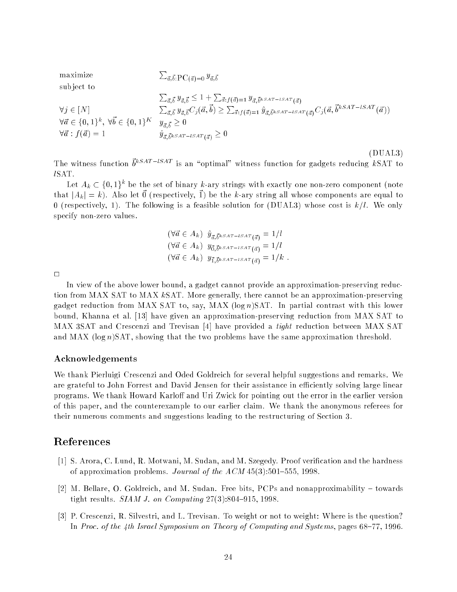maximize  $\vec{a}, \vec{b}$ : $\text{PC}(\vec{a}) = 0$   $\overrightarrow{y}_{\vec{a}}, \vec{b}$ sub ject to  $\sum_{\vec{a}, \vec{b}} y_{\vec{a}, \vec{b}} \leq 1 + \sum_{\vec{a}: f(\vec{a}) = 1} y_{\vec{a}, \vec{b}^k}$ sat-isat  $_{(\vec{a})}$  $\forall j \in [N]$   $\sum_{\vec{a}, \vec{b}} y_{\vec{a}, \vec{b}} C_j (\vec{a}, \vec{b}) \geq \sum_{\vec{a}: f(\vec{a})=1} \hat{y}_{\vec{a}, \vec{b}^k SAT-ISAT}(\vec{a}) C_j (\vec{a}, \vec{b}^{kSAT-ISAT}(\vec{a}))$  $\forall \vec{a} \in \{0, 1\}^k, \ \forall \vec{b} \in \{0, 1\}^K \quad y_{\vec{a}, \vec{b}} \geq 0$  $\forall \vec{a}$  :  $f(\vec{a}) = 1$  $\vec{a}, \vec{b}$ k SAT – lSAT  $(\vec{a}) \leq 0$ 

The witness function  $\vec{b}^{kSAT-ISAT}$  is an "optimal" witness function for gadgets reducing  $k\,\mathrm{SAT}$  to lSAT.

(DUAL3)

Let  $A_k \subset \{0,1\}^k$  be the set of binary k-ary strings with exactly one non-zero component (note that  $|A_k| = k$ ). Also let  $\vec{0}$  (respectively,  $\vec{1}$ ) be the k-ary string all whose components are equal to 0 (respectively, 1). The following is a feasible solution for (DUAL3) whose cost is  $k/l$ . We only specify non-zero values.

$$
(\forall \vec{a} \in A_k) \ \hat{y}_{\vec{a}, \vec{b}^k S A T - i S A T}(\vec{a}) = 1/l
$$
  
\n
$$
(\forall \vec{a} \in A_k) \ y_{\vec{0}, \vec{b}^k S A T - i S A T}(\vec{a}) = 1/l
$$
  
\n
$$
(\forall \vec{a} \in A_k) \ y_{\vec{1}, \vec{b}^k S A T - i S A T}(\vec{a}) = 1/k.
$$

 $\Box$ 

In view of the above lower bound, a gadget cannot provide an approximation-preserving reduction from MAX SAT to MAX kSAT. More generally, there cannot be an approximation-preserving gadget reduction from MAX SAT to, say, MAX  $(\log n)$ SAT. In partial contrast with this lower bound, Khanna et al. [13] have given an approximation-preserving reduction from MAX SAT to MAX 3SAT and Crescenzi and Trevisan [4] have provided a tight reduction between MAX SAT and MAX ( $log n$ )SAT, showing that the two problems have the same approximation threshold.

#### Acknowledgements

We thank Pierluigi Crescenzi and Oded Goldreich for several helpful suggestions and remarks. We are grateful to John Forrest and David Jensen for their assistance in efficiently solving large linear programs. We thank Howard Karloff and Uri Zwick for pointing out the error in the earlier version of this paper, and the counterexample to our earlier claim. We thank the anonymous referees for their numerous comments and suggestions leading to the restructuring of Section 3.

### References

- [1] S. Arora, C. Lund, R. Motwani, M. Sudan, and M. Szegedy. Proof verication and the hardness of approximation problems. Journal of the  $ACM$  45(3):501–555, 1998.
- [2] M. Bellare, O. Goldreich, and M. Sudan. Free bits, PCPs and nonapproximability  $-$  towards tight results.  $SIAMJ.$  on Computing  $27(3):804-915, 1998$ .
- [3] P. Crescenzi, R. Silvestri, and L. Trevisan. To weight or not to weight: Where is the question? In Proc. of the 4th Israel Symposium on Theory of Computing and Systems, pages  $68-77$ , 1996.